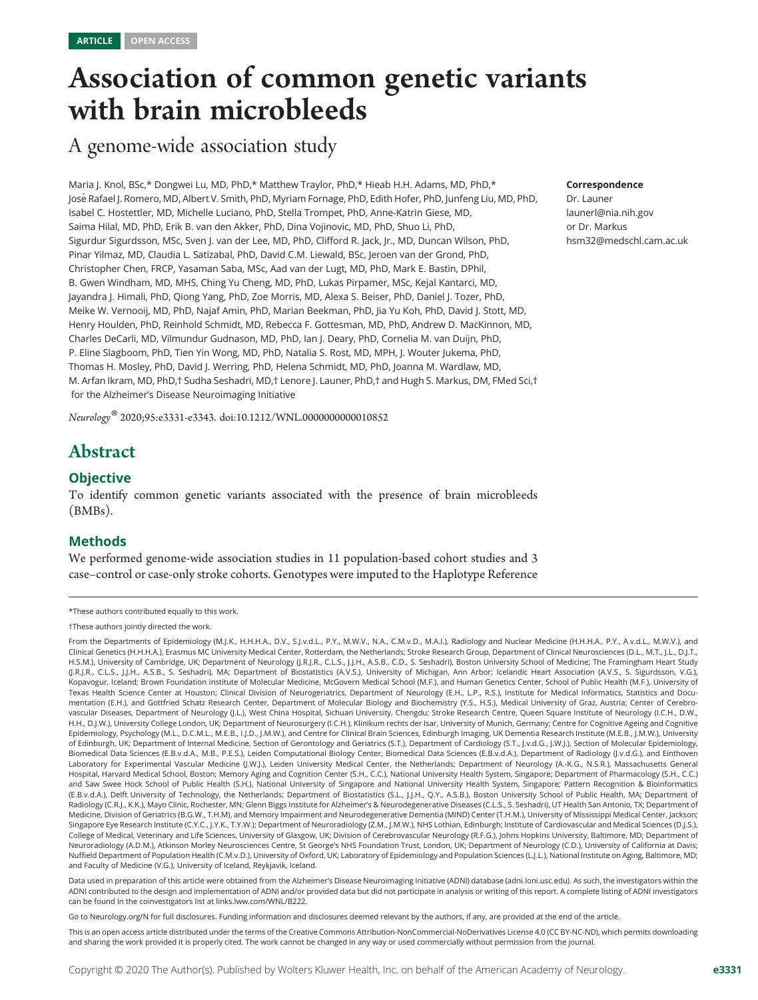## Association of common genetic variants with brain microbleeds

A genome-wide association study

Maria J. Knol, BSc,\* Dongwei Lu, MD, PhD,\* Matthew Traylor, PhD,\* Hieab H.H. Adams, MD, PhD,\* Jos´e Rafael J. Romero, MD, Albert V. Smith, PhD, Myriam Fornage, PhD, Edith Hofer, PhD, Junfeng Liu, MD, PhD, Isabel C. Hostettler, MD, Michelle Luciano, PhD, Stella Trompet, PhD, Anne-Katrin Giese, MD, Saima Hilal, MD, PhD, Erik B. van den Akker, PhD, Dina Vojinovic, MD, PhD, Shuo Li, PhD, Sigurdur Sigurdsson, MSc, Sven J. van der Lee, MD, PhD, Clifford R. Jack, Jr., MD, Duncan Wilson, PhD, Pinar Yilmaz, MD, Claudia L. Satizabal, PhD, David C.M. Liewald, BSc, Jeroen van der Grond, PhD, Christopher Chen, FRCP, Yasaman Saba, MSc, Aad van der Lugt, MD, PhD, Mark E. Bastin, DPhil, B. Gwen Windham, MD, MHS, Ching Yu Cheng, MD, PhD, Lukas Pirpamer, MSc, Kejal Kantarci, MD, Jayandra J. Himali, PhD, Qiong Yang, PhD, Zoe Morris, MD, Alexa S. Beiser, PhD, Daniel J. Tozer, PhD, Meike W. Vernooij, MD, PhD, Najaf Amin, PhD, Marian Beekman, PhD, Jia Yu Koh, PhD, David J. Stott, MD, Henry Houlden, PhD, Reinhold Schmidt, MD, Rebecca F. Gottesman, MD, PhD, Andrew D. MacKinnon, MD, Charles DeCarli, MD, Vilmundur Gudnason, MD, PhD, Ian J. Deary, PhD, Cornelia M. van Duijn, PhD, P. Eline Slagboom, PhD, Tien Yin Wong, MD, PhD, Natalia S. Rost, MD, MPH, J. Wouter Jukema, PhD, Thomas H. Mosley, PhD, David J. Werring, PhD, Helena Schmidt, MD, PhD, Joanna M. Wardlaw, MD, M. Arfan Ikram, MD, PhD,† Sudha Seshadri, MD,† Lenore J. Launer, PhD,† and Hugh S. Markus, DM, FMed Sci,† for the Alzheimer's Disease Neuroimaging Initiative

Neurology® 2020;95:e3331-e3343. doi[:10.1212/WNL.0000000000010852](http://dx.doi.org/10.1212/WNL.0000000000010852)

## Abstract

## **Objective**

To identify common genetic variants associated with the presence of brain microbleeds (BMBs).

## Methods

We performed genome-wide association studies in 11 population-based cohort studies and 3 case–control or case-only stroke cohorts. Genotypes were imputed to the Haplotype Reference

Data used in preparation of this article were obtained from the Alzheimer's Disease Neuroimaging Initiative (ADNI) database ([adni.loni.usc.edu\)](http://adni.loni.usc.edu). As such, the investigators within the ADNI contributed to the design and implementation of ADNI and/or provided data but did not participate in analysis or writing of this report. A complete listing of ADNI investigators can be found in the coinvestigators list at [links.lww.com/WNL/B222](http://links.lww.com/WNL/B222).

Go to [Neurology.org/N](https://n.neurology.org/lookup/doi/10.1212/WNL.0000000000010852) for full disclosures. Funding information and disclosures deemed relevant by the authors, if any, are provided at the end of the article.

This is an open access article distributed under the terms of the [Creative Commons Attribution-NonCommercial-NoDerivatives License 4.0 \(CC BY-NC-ND\),](http://creativecommons.org/licenses/by-nc-nd/4.0/) which permits downloading and sharing the work provided it is properly cited. The work cannot be changed in any way or used commercially without permission from the journal.

#### Correspondence

Dr. Launer [launerl@nia.nih.gov](mailto:launerl@nia.nih.gov) or Dr. Markus [hsm32@medschl.cam.ac.uk](mailto:hsm32@medschl.cam.ac.uk)

<sup>\*</sup>These authors contributed equally to this work.

<sup>†</sup>These authors jointly directed the work.

From the Departments of Epidemiology (M.J.K., H.H.H.A., D.V., S.J.v.d.L., P.Y., M.W.V., N.A., C.M.v.D., M.A.I.), Radiology and Nuclear Medicine (H.H.H.A., P.Y., A.v.d.L., M.W.V.), and Clinical Genetics (H.H.H.A.), Erasmus MC University Medical Center, Rotterdam, the Netherlands; Stroke Research Group, Department of Clinical Neurosciences (D.L., M.T., J.L., D.J.T., H.S.M.), University of Cambridge, UK; Department of Neurology (J.R.J.R., C.L.S., J.J.H., A.S.B., C.D., S. Seshadri), Boston University School of Medicine; The Framingham Heart Study (J.R.J.R., C.L.S., J.J.H., A.S.B., S. Seshadri), MA; Department of Biostatistics (A.V.S.), University of Michigan, Ann Arbor; Icelandic Heart Association (A.V.S., S. Sigurdsson, V.G.), Kopavogur, Iceland; Brown Foundation Institute of Molecular Medicine, McGovern Medical School (M.F.), and Human Genetics Center, School of Public Health (M.F.), University of Texas Health Science Center at Houston; Clinical Division of Neurogeriatrics, Department of Neurology (E.H., L.P., R.S.), Institute for Medical Informatics, Statistics and Documentation (E.H.), and Gottfried Schatz Research Center, Department of Molecular Biology and Biochemistry (Y.S., H.S.), Medical University of Graz, Austria; Center of Cerebrovascular Diseases, Department of Neurology (J.L.), West China Hospital, Sichuan University, Chengdu; Stroke Research Centre, Queen Square Institute of Neurology (I.C.H., D.W., H.H., D.J.W.), University College London, UK; Department of Neurosurgery (I.C.H.), Klinikum rechts der Isar, University of Munich, Germany; Centre for Cognitive Ageing and Cognitive Epidemiology, Psychology (M.L., D.C.M.L., M.E.B., I.J.D., J.M.W.), and Centre for Clinical Brain Sciences, Edinburgh Imaging, UK Dementia Research Institute (M.E.B., J.M.W.), University of Edinburgh, UK; Department of Internal Medicine, Section of Gerontology and Geriatrics (S.T.), Department of Cardiology (S.T., J.v.d.G., J.W.J.), Section of Molecular Epidemiology, Biomedical Data Sciences (E.B.v.d.A., M.B., P.E.S.), Leiden Computational Biology Center, Biomedical Data Sciences (E.B.v.d.A.), Department of Radiology (J.v.d.G.), and Einthoven Laboratory for Experimental Vascular Medicine (J.W.J.), Leiden University Medical Center, the Netherlands; Department of Neurology (A.-K.G., N.S.R.), Massachusetts General Hospital, Harvard Medical School, Boston; Memory Aging and Cognition Center (S.H., C.C.), National University Health System, Singapore; Department of Pharmacology (S.H., C.C.) and Saw Swee Hock School of Public Health (S.H.), National University of Singapore and National University Health System, Singapore; Pattern Recognition & Bioinformatics (E.B.v.d.A.), Delft University of Technology, the Netherlands; Department of Biostatistics (S.L., J.J.H., Q.Y., A.S.B.), Boston University School of Public Health, MA; Department of Radiology (C.R.J., K.K.), Mayo Clinic, Rochester, MN; Glenn Biggs Institute for Alzheimer's & Neurodegenerative Diseases (C.L.S., S. Seshadri), UT Health San Antonio, TX; Department of Medicine, Division of Geriatrics (B.G.W., T.H.M), and Memory Impairment and Neurodegenerative Dementia (MIND) Center (T.H.M.), University of Mississippi Medical Center, Jackson; Singapore Eye Research Institute (C.Y.C., J.Y.K., T.Y.W.); Department of Neuroradiology (Z.M., J.M.W.), NHS Lothian, Edinburgh; Institute of Cardiovascular and Medical Sciences (D.J.S.), College of Medical, Veterinary and Life Sciences, University of Glasgow, UK; Division of Cerebrovascular Neurology (R.F.G.), Johns Hopkins University, Baltimore, MD; Department of Neuroradiology (A.D.M.), Atkinson Morley Neurosciences Centre, St George's NHS Foundation Trust, London, UK; Department of Neurology (C.D.), University of California at Davis; Nuffield Department of Population Health (C.M.v.D.), University of Oxford, UK; Laboratory of Epidemiology and Population Sciences (L.J.L.), National Institute on Aging, Baltimore, MD; and Faculty of Medicine (V.G.), University of Iceland, Reykjavik, Iceland.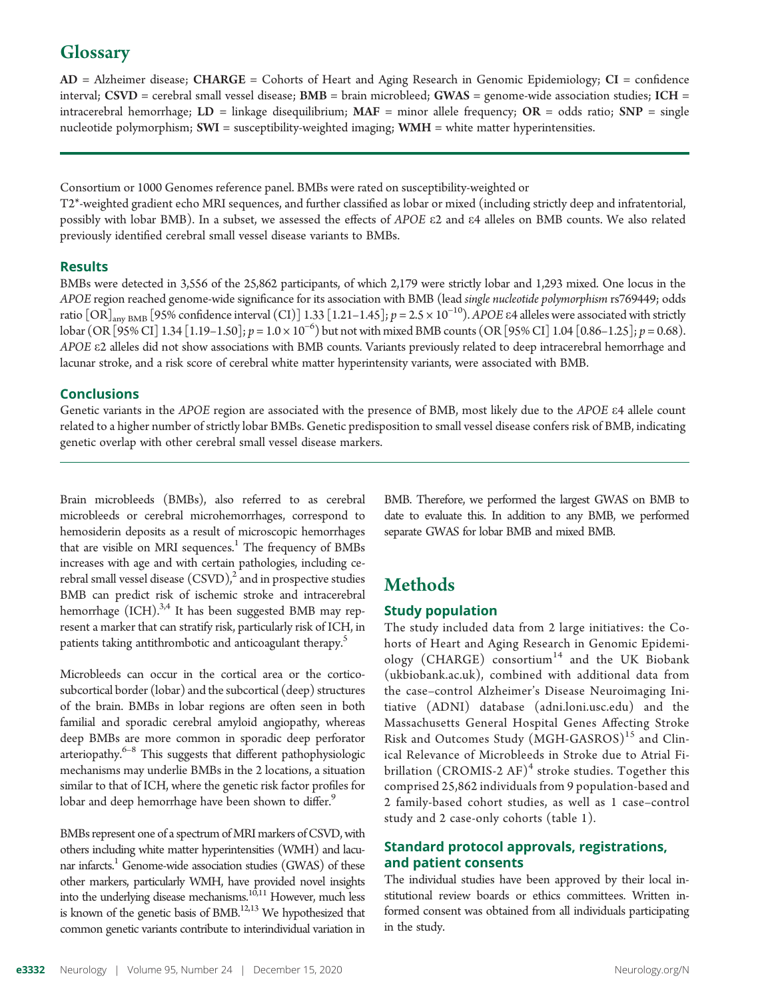## **Glossary**

AD = Alzheimer disease; CHARGE = Cohorts of Heart and Aging Research in Genomic Epidemiology; CI = confidence interval; CSVD = cerebral small vessel disease;  $BMB = b$ rain microbleed; GWAS = genome-wide association studies; ICH = intracerebral hemorrhage;  $LD =$  linkage disequilibrium;  $MAF =$  minor allele frequency;  $OR =$  odds ratio;  $SNP =$  single nucleotide polymorphism; SWI = susceptibility-weighted imaging; WMH = white matter hyperintensities.

Consortium or 1000 Genomes reference panel. BMBs were rated on susceptibility-weighted or

T2\*-weighted gradient echo MRI sequences, and further classified as lobar or mixed (including strictly deep and infratentorial, possibly with lobar BMB). In a subset, we assessed the effects of APOE e2 and e4 alleles on BMB counts. We also related previously identified cerebral small vessel disease variants to BMBs.

## **Results**

BMBs were detected in 3,556 of the 25,862 participants, of which 2,179 were strictly lobar and 1,293 mixed. One locus in the APOE region reached genome-wide significance for its association with BMB (lead single nucleotide polymorphism rs769449; odds ratio  $[OR]_{\text{any BMB}}$  [95% confidence interval (CI)] 1.33 [1.21–1.45];  $p = 2.5 \times 10^{-10}$ ). APOE  $\varepsilon$ 4 alleles were associated with strictly  $\frac{1}{2}$  lobar (OR [95% CI] 1.34 [1.19–1.50];  $p = 1.0 \times 10^{-6}$ ) but not with mixed BMB counts (OR [95% CI] 1.04 [0.86–1.25];  $p = 0.68$ ). APOE e2 alleles did not show associations with BMB counts. Variants previously related to deep intracerebral hemorrhage and lacunar stroke, and a risk score of cerebral white matter hyperintensity variants, were associated with BMB.

## Conclusions

Genetic variants in the APOE region are associated with the presence of BMB, most likely due to the APOE  $\varepsilon$ 4 allele count related to a higher number of strictly lobar BMBs. Genetic predisposition to small vessel disease confers risk of BMB, indicating genetic overlap with other cerebral small vessel disease markers.

Brain microbleeds (BMBs), also referred to as cerebral microbleeds or cerebral microhemorrhages, correspond to hemosiderin deposits as a result of microscopic hemorrhages that are visible on MRI sequences.<sup>1</sup> The frequency of BMBs increases with age and with certain pathologies, including cerebral small vessel disease  $(CSVD)<sup>2</sup>$  and in prospective studies BMB can predict risk of ischemic stroke and intracerebral hemorrhage  $(ICH).^{3,4}$  It has been suggested BMB may represent a marker that can stratify risk, particularly risk of ICH, in patients taking antithrombotic and anticoagulant therapy.<sup>5</sup>

Microbleeds can occur in the cortical area or the corticosubcortical border (lobar) and the subcortical (deep) structures of the brain. BMBs in lobar regions are often seen in both familial and sporadic cerebral amyloid angiopathy, whereas deep BMBs are more common in sporadic deep perforator arteriopathy.<sup>6–8</sup> This suggests that different pathophysiologic mechanisms may underlie BMBs in the 2 locations, a situation similar to that of ICH, where the genetic risk factor profiles for lobar and deep hemorrhage have been shown to differ.<sup>9</sup>

BMBs represent one of a spectrum of MRI markers of CSVD, with others including white matter hyperintensities (WMH) and lacunar infarcts.<sup>1</sup> Genome-wide association studies (GWAS) of these other markers, particularly WMH, have provided novel insights into the underlying disease mechanisms.10,11 However, much less is known of the genetic basis of BMB.<sup>12,13</sup> We hypothesized that common genetic variants contribute to interindividual variation in

BMB. Therefore, we performed the largest GWAS on BMB to date to evaluate this. In addition to any BMB, we performed separate GWAS for lobar BMB and mixed BMB.

## Methods

## Study population

The study included data from 2 large initiatives: the Cohorts of Heart and Aging Research in Genomic Epidemiology (CHARGE) consortium<sup>14</sup> and the UK Biobank ([ukbiobank.ac.uk\)](http://www.ukbiobank.ac.uk), combined with additional data from the case–control Alzheimer's Disease Neuroimaging Initiative (ADNI) database ([adni.loni.usc.edu\)](http://adni.loni.usc.edu) and the Massachusetts General Hospital Genes Affecting Stroke Risk and Outcomes Study (MGH-GASROS)<sup>15</sup> and Clinical Relevance of Microbleeds in Stroke due to Atrial Fibrillation (CROMIS-2 AF)<sup>4</sup> stroke studies. Together this comprised 25,862 individuals from 9 population-based and 2 family-based cohort studies, as well as 1 case–control study and 2 case-only cohorts (table 1).

## Standard protocol approvals, registrations, and patient consents

The individual studies have been approved by their local institutional review boards or ethics committees. Written informed consent was obtained from all individuals participating in the study.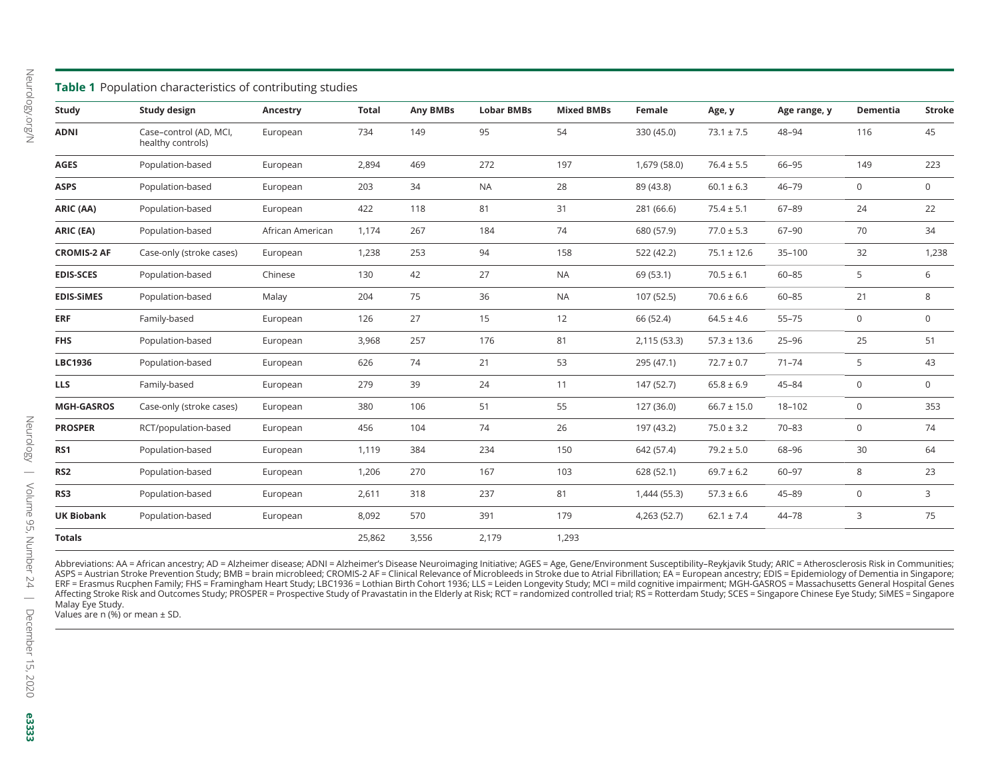|                    | Table 1 Population characteristics of contributing studies |                  |              |          |                   |                   |              |                 |              |              |               |
|--------------------|------------------------------------------------------------|------------------|--------------|----------|-------------------|-------------------|--------------|-----------------|--------------|--------------|---------------|
| Study              | Study design                                               | Ancestry         | <b>Total</b> | Any BMBs | <b>Lobar BMBs</b> | <b>Mixed BMBs</b> | Female       | Age, y          | Age range, y | Dementia     | <b>Stroke</b> |
| <b>ADNI</b>        | Case-control (AD, MCI,<br>healthy controls)                | European         | 734          | 149      | 95                | 54                | 330 (45.0)   | $73.1 \pm 7.5$  | 48-94        | 116          | 45            |
| <b>AGES</b>        | Population-based                                           | European         | 2,894        | 469      | 272               | 197               | 1,679 (58.0) | $76.4 \pm 5.5$  | 66-95        | 149          | 223           |
| <b>ASPS</b>        | Population-based                                           | European         | 203          | 34       | <b>NA</b>         | 28                | 89 (43.8)    | $60.1 \pm 6.3$  | $46 - 79$    | 0            | 0             |
| ARIC (AA)          | Population-based                                           | European         | 422          | 118      | 81                | 31                | 281 (66.6)   | $75.4 \pm 5.1$  | $67 - 89$    | 24           | 22            |
| ARIC (EA)          | Population-based                                           | African American | 1,174        | 267      | 184               | 74                | 680 (57.9)   | $77.0 \pm 5.3$  | $67 - 90$    | 70           | 34            |
| <b>CROMIS-2 AF</b> | Case-only (stroke cases)                                   | European         | 1,238        | 253      | 94                | 158               | 522 (42.2)   | $75.1 \pm 12.6$ | $35 - 100$   | 32           | 1,238         |
| <b>EDIS-SCES</b>   | Population-based                                           | Chinese          | 130          | 42       | 27                | <b>NA</b>         | 69 (53.1)    | $70.5 \pm 6.1$  | $60 - 85$    | 5            | 6             |
| <b>EDIS-SIMES</b>  | Population-based                                           | Malay            | 204          | 75       | 36                | <b>NA</b>         | 107 (52.5)   | $70.6 \pm 6.6$  | $60 - 85$    | 21           | 8             |
| <b>ERF</b>         | Family-based                                               | European         | 126          | 27       | 15                | 12                | 66 (52.4)    | $64.5 \pm 4.6$  | $55 - 75$    | $\mathbf 0$  | $\mathbf 0$   |
| <b>FHS</b>         | Population-based                                           | European         | 3,968        | 257      | 176               | 81                | 2,115 (53.3) | $57.3 \pm 13.6$ | $25 - 96$    | 25           | 51            |
| LBC1936            | Population-based                                           | European         | 626          | 74       | 21                | 53                | 295 (47.1)   | $72.7 \pm 0.7$  | $71 - 74$    | 5            | 43            |
| <b>LLS</b>         | Family-based                                               | European         | 279          | 39       | 24                | 11                | 147 (52.7)   | $65.8 \pm 6.9$  | $45 - 84$    | $\mathsf{O}$ | 0             |
| <b>MGH-GASROS</b>  | Case-only (stroke cases)                                   | European         | 380          | 106      | 51                | 55                | 127 (36.0)   | $66.7 \pm 15.0$ | $18 - 102$   | 0            | 353           |
| <b>PROSPER</b>     | RCT/population-based                                       | European         | 456          | 104      | 74                | 26                | 197 (43.2)   | $75.0 \pm 3.2$  | $70 - 83$    | $\mathbf 0$  | 74            |
| RS1                | Population-based                                           | European         | 1,119        | 384      | 234               | 150               | 642 (57.4)   | $79.2 \pm 5.0$  | 68-96        | 30           | 64            |
| RS <sub>2</sub>    | Population-based                                           | European         | 1,206        | 270      | 167               | 103               | 628 (52.1)   | $69.7 \pm 6.2$  | $60 - 97$    | 8            | 23            |
| RS3                | Population-based                                           | European         | 2,611        | 318      | 237               | 81                | 1,444 (55.3) | $57.3 \pm 6.6$  | $45 - 89$    | 0            | 3             |
| <b>UK Biobank</b>  | Population-based                                           | European         | 8,092        | 570      | 391               | 179               | 4,263 (52.7) | $62.1 \pm 7.4$  | 44-78        | 3            | 75            |
| <b>Totals</b>      |                                                            |                  | 25,862       | 3,556    | 2,179             | 1,293             |              |                 |              |              |               |

Abbreviations: AA = African ancestry; AD = Alzheimer disease; ADNI = Alzheimer's Disease Neuroimaging Initiative; AGES = Age, Gene/Environment Susceptibility–Reykjavik Study; ARIC = Atherosclerosis Risk in Communities;<br>ASP ERF = Erasmus Rucphen Family; FHS = Framingham Heart Study; LBC1936 = Lothian Birth Cohort 1936; LLS = Leiden Longevity Study; MCI = mild cognitive impairment; MGH-GASROS = Massachusetts General Hospital Genes<br>Affecting St Malay Eye Study.

Values are <sup>n</sup> (%) or mean <sup>±</sup> SD.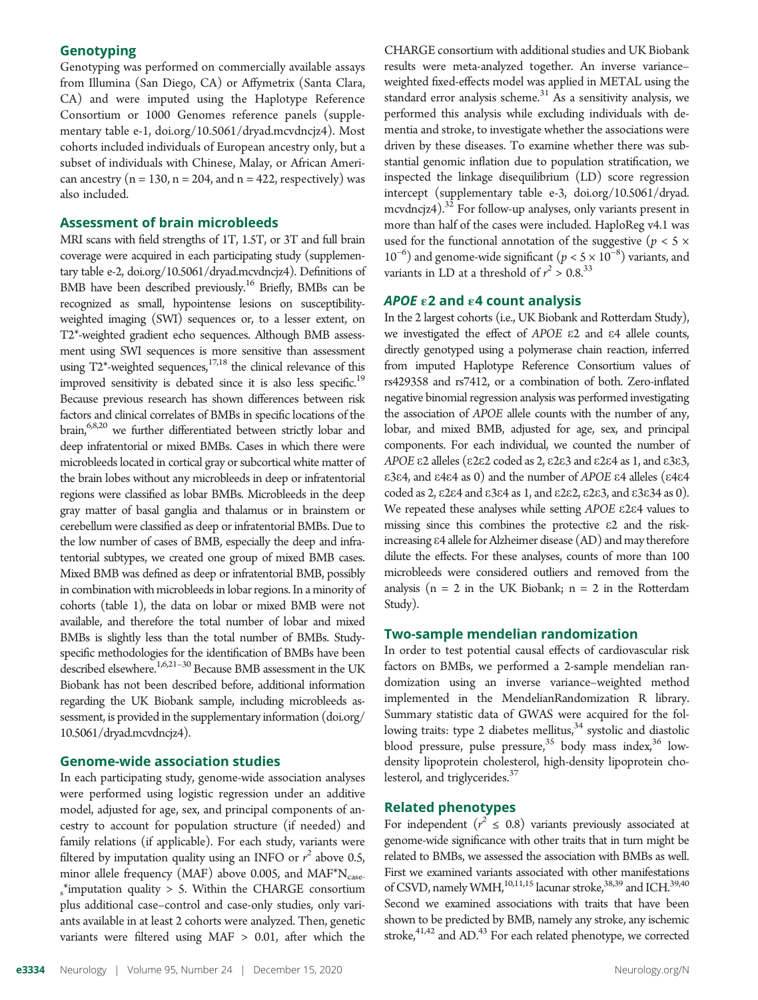## **Genotyping**

Genotyping was performed on commercially available assays from Illumina (San Diego, CA) or Affymetrix (Santa Clara, CA) and were imputed using the Haplotype Reference Consortium or 1000 Genomes reference panels (supplementary table e-1, [doi.org/10.5061/dryad.mcvdncjz4](http://doi.org/10.5061/dryad.mcvdncjz4)). Most cohorts included individuals of European ancestry only, but a subset of individuals with Chinese, Malay, or African American ancestry ( $n = 130$ ,  $n = 204$ , and  $n = 422$ , respectively) was also included.

#### Assessment of brain microbleeds

MRI scans with field strengths of 1T, 1.5T, or 3T and full brain coverage were acquired in each participating study (supplementary table e-2, [doi.org/10.5061/dryad.mcvdncjz4\)](http://doi.org/10.5061/dryad.mcvdncjz4). Definitions of BMB have been described previously.<sup>16</sup> Briefly, BMBs can be recognized as small, hypointense lesions on susceptibilityweighted imaging (SWI) sequences or, to a lesser extent, on T2\*-weighted gradient echo sequences. Although BMB assessment using SWI sequences is more sensitive than assessment using  $T2^*$ -weighted sequences,<sup>17,18</sup> the clinical relevance of this improved sensitivity is debated since it is also less specific.<sup>19</sup> Because previous research has shown differences between risk factors and clinical correlates of BMBs in specific locations of the brain,<sup>6,8,20</sup> we further differentiated between strictly lobar and deep infratentorial or mixed BMBs. Cases in which there were microbleeds located in cortical gray or subcortical white matter of the brain lobes without any microbleeds in deep or infratentorial regions were classified as lobar BMBs. Microbleeds in the deep gray matter of basal ganglia and thalamus or in brainstem or cerebellum were classified as deep or infratentorial BMBs. Due to the low number of cases of BMB, especially the deep and infratentorial subtypes, we created one group of mixed BMB cases. Mixed BMB was defined as deep or infratentorial BMB, possibly in combination with microbleeds in lobar regions. In a minority of cohorts (table 1), the data on lobar or mixed BMB were not available, and therefore the total number of lobar and mixed BMBs is slightly less than the total number of BMBs. Studyspecific methodologies for the identification of BMBs have been described elsewhere.<sup>1,6,21-30</sup> Because BMB assessment in the UK Biobank has not been described before, additional information regarding the UK Biobank sample, including microbleeds assessment, is provided in the supplementary information ([doi.org/](http://doi.org/10.5061/dryad.mcvdncjz4) [10.5061/dryad.mcvdncjz4\)](http://doi.org/10.5061/dryad.mcvdncjz4).

## Genome-wide association studies

In each participating study, genome-wide association analyses were performed using logistic regression under an additive model, adjusted for age, sex, and principal components of ancestry to account for population structure (if needed) and family relations (if applicable). For each study, variants were filtered by imputation quality using an INFO or  $r^2$  above 0.5, minor allele frequency (MAF) above 0.005, and MAF\* $N_{\text{case}}$  $s^*$ imputation quality > 5. Within the CHARGE consortium plus additional case–control and case-only studies, only variants available in at least 2 cohorts were analyzed. Then, genetic variants were filtered using MAF > 0.01, after which the

CHARGE consortium with additional studies and UK Biobank results were meta-analyzed together. An inverse variance– weighted fixed-effects model was applied in METAL using the standard error analysis scheme. $31$  As a sensitivity analysis, we performed this analysis while excluding individuals with dementia and stroke, to investigate whether the associations were driven by these diseases. To examine whether there was substantial genomic inflation due to population stratification, we inspected the linkage disequilibrium (LD) score regression intercept (supplementary table e-3, [doi.org/10.5061/dryad.](http://doi.org/10.5061/dryad.mcvdncjz4) [mcvdncjz4](http://doi.org/10.5061/dryad.mcvdncjz4)).32 For follow-up analyses, only variants present in more than half of the cases were included. HaploReg v4.1 was used for the functional annotation of the suggestive ( $p < 5 \times$  $10^{-6}$ ) and genome-wide significant ( $p < 5 \times 10^{-8}$ ) variants, and variants in LD at a threshold of  $r^2 > 0.8$ .<sup>33</sup>

## APOE  $\epsilon$ 2 and  $\epsilon$ 4 count analysis

In the 2 largest cohorts (i.e., UK Biobank and Rotterdam Study), we investigated the effect of APOE e2 and e4 allele counts, directly genotyped using a polymerase chain reaction, inferred from imputed Haplotype Reference Consortium values of rs429358 and rs7412, or a combination of both. Zero-inflated negative binomial regression analysis was performed investigating the association of APOE allele counts with the number of any, lobar, and mixed BMB, adjusted for age, sex, and principal components. For each individual, we counted the number of APOE e2 alleles (e2e2 coded as 2, e2e3 and e2e4 as 1, and e3e3,  $\epsilon$ 3 $\epsilon$ 4, and  $\epsilon$ 4 $\epsilon$ 4 as 0) and the number of APOE  $\epsilon$ 4 alleles ( $\epsilon$ 4 $\epsilon$ 4 coded as 2, e2e4 and e3e4 as 1, and e2e2, e2e3, and e3e34 as 0). We repeated these analyses while setting APOE ε2ε4 values to missing since this combines the protective e2 and the riskincreasing e4 allele for Alzheimer disease (AD) and maytherefore dilute the effects. For these analyses, counts of more than 100 microbleeds were considered outliers and removed from the analysis ( $n = 2$  in the UK Biobank;  $n = 2$  in the Rotterdam Study).

#### Two-sample mendelian randomization

In order to test potential causal effects of cardiovascular risk factors on BMBs, we performed a 2-sample mendelian randomization using an inverse variance–weighted method implemented in the MendelianRandomization R library. Summary statistic data of GWAS were acquired for the following traits: type 2 diabetes mellitus,<sup>34</sup> systolic and diastolic blood pressure, pulse pressure,  $35$  body mass index,  $36$  lowdensity lipoprotein cholesterol, high-density lipoprotein cholesterol, and triglycerides.<sup>37</sup>

## Related phenotypes

For independent ( $r^2 \le 0.8$ ) variants previously associated at genome-wide significance with other traits that in turn might be related to BMBs, we assessed the association with BMBs as well. First we examined variants associated with other manifestations of CSVD, namely WMH, $^{10,11,15}$  lacunar stroke, $^{38,39}$  and ICH. $^{39,40}$ Second we examined associations with traits that have been shown to be predicted by BMB, namely any stroke, any ischemic stroke, $41,42$  and AD. $43$  For each related phenotype, we corrected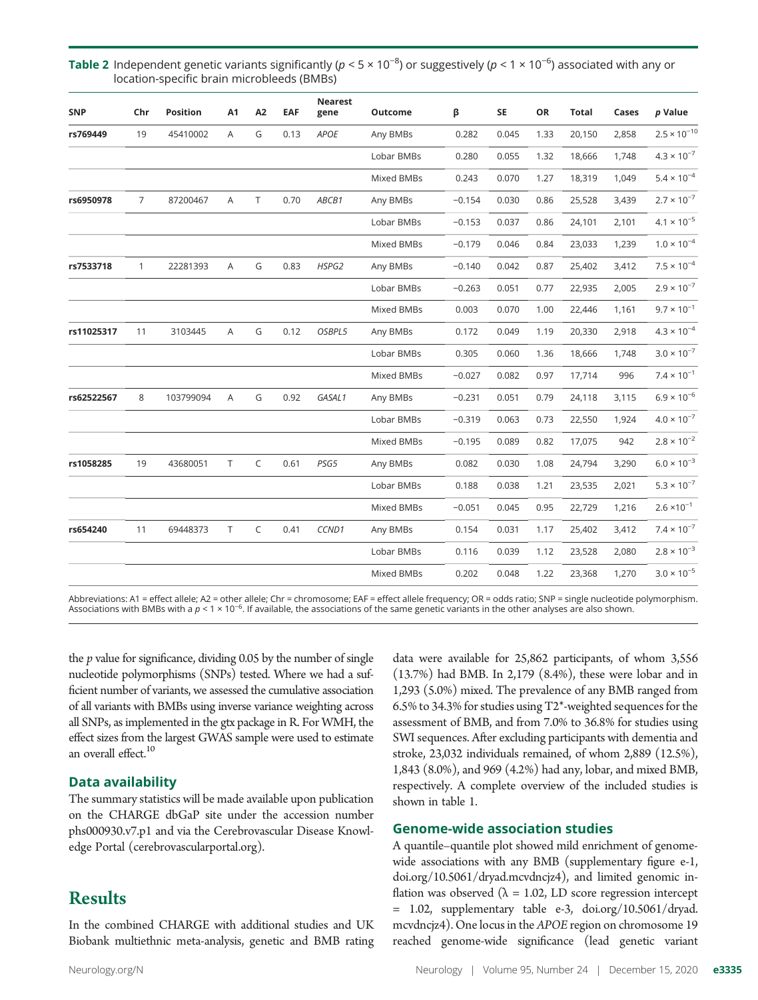| <b>SNP</b> | Chr            | <b>Position</b> | A1             | A2     | EAF  | <b>Nearest</b><br>gene | Outcome    | β        | SE    | OR   | <b>Total</b> | Cases | p Value               |
|------------|----------------|-----------------|----------------|--------|------|------------------------|------------|----------|-------|------|--------------|-------|-----------------------|
| rs769449   | 19             | 45410002        | A              | G      | 0.13 | APOE                   | Any BMBs   | 0.282    | 0.045 | 1.33 | 20,150       | 2,858 | $2.5 \times 10^{-10}$ |
|            |                |                 |                |        |      |                        | Lobar BMBs | 0.280    | 0.055 | 1.32 | 18,666       | 1,748 | $4.3 \times 10^{-7}$  |
|            |                |                 |                |        |      |                        | Mixed BMBs | 0.243    | 0.070 | 1.27 | 18,319       | 1,049 | $5.4\times10^{-4}$    |
| rs6950978  | $\overline{7}$ | 87200467        | $\overline{A}$ | $\top$ | 0.70 | ABCB1                  | Any BMBs   | $-0.154$ | 0.030 | 0.86 | 25,528       | 3,439 | $2.7\times10^{-7}$    |
|            |                |                 |                |        |      |                        | Lobar BMBs | $-0.153$ | 0.037 | 0.86 | 24,101       | 2,101 | $4.1 \times 10^{-5}$  |
|            |                |                 |                |        |      |                        | Mixed BMBs | $-0.179$ | 0.046 | 0.84 | 23,033       | 1,239 | $1.0\times10^{-4}$    |
| rs7533718  | $\mathbf{1}$   | 22281393        | A              | G      | 0.83 | HSPG2                  | Any BMBs   | $-0.140$ | 0.042 | 0.87 | 25,402       | 3,412 | $7.5\times10^{-4}$    |
|            |                |                 |                |        |      |                        | Lobar BMBs | $-0.263$ | 0.051 | 0.77 | 22,935       | 2,005 | $2.9 \times 10^{-7}$  |
|            |                |                 |                |        |      |                        | Mixed BMBs | 0.003    | 0.070 | 1.00 | 22,446       | 1,161 | $9.7 \times 10^{-1}$  |
| rs11025317 | 11             | 3103445         | A              | G      | 0.12 | OSBPL5                 | Any BMBs   | 0.172    | 0.049 | 1.19 | 20,330       | 2,918 | $4.3 \times 10^{-4}$  |
|            |                |                 |                |        |      |                        | Lobar BMBs | 0.305    | 0.060 | 1.36 | 18,666       | 1,748 | $3.0 \times 10^{-7}$  |
|            |                |                 |                |        |      |                        | Mixed BMBs | $-0.027$ | 0.082 | 0.97 | 17,714       | 996   | $7.4 \times 10^{-1}$  |
| rs62522567 | 8              | 103799094       | A              | G      | 0.92 | GASAL1                 | Any BMBs   | $-0.231$ | 0.051 | 0.79 | 24,118       | 3,115 | $6.9\times10^{-6}$    |
|            |                |                 |                |        |      |                        | Lobar BMBs | $-0.319$ | 0.063 | 0.73 | 22,550       | 1,924 | $4.0\times10^{-7}$    |
|            |                |                 |                |        |      |                        | Mixed BMBs | $-0.195$ | 0.089 | 0.82 | 17,075       | 942   | $2.8\times10^{-2}$    |
| rs1058285  | 19             | 43680051        | T              | C      | 0.61 | PSG5                   | Any BMBs   | 0.082    | 0.030 | 1.08 | 24,794       | 3,290 | $6.0 \times 10^{-3}$  |
|            |                |                 |                |        |      |                        | Lobar BMBs | 0.188    | 0.038 | 1.21 | 23,535       | 2,021 | $5.3 \times 10^{-7}$  |
|            |                |                 |                |        |      |                        | Mixed BMBs | $-0.051$ | 0.045 | 0.95 | 22,729       | 1,216 | $2.6 \times 10^{-1}$  |
| rs654240   | 11             | 69448373        | T              | C      | 0.41 | CCND1                  | Any BMBs   | 0.154    | 0.031 | 1.17 | 25,402       | 3,412 | $7.4 \times 10^{-7}$  |
|            |                |                 |                |        |      |                        | Lobar BMBs | 0.116    | 0.039 | 1.12 | 23,528       | 2,080 | $2.8 \times 10^{-3}$  |
|            |                |                 |                |        |      |                        | Mixed BMBs | 0.202    | 0.048 | 1.22 | 23,368       | 1,270 | $3.0\times10^{-5}$    |

Table 2 Independent genetic variants significantly ( $p < 5 \times 10^{-8}$ ) or suggestively ( $p < 1 \times 10^{-6}$ ) associated with any or location-specific brain microbleeds (BMBs)

Abbreviations: A1 = effect allele; A2 = other allele; Chr = chromosome; EAF = effect allele frequency; OR = odds ratio; SNP = single nucleotide polymorphism. Associations with BMBs with a  $p < 1 \times 10^{-6}$ . If available, the associations of the same genetic variants in the other analyses are also shown.

the  $p$  value for significance, dividing 0.05 by the number of single nucleotide polymorphisms (SNPs) tested. Where we had a sufficient number of variants, we assessed the cumulative association of all variants with BMBs using inverse variance weighting across all SNPs, as implemented in the gtx package in R. For WMH, the effect sizes from the largest GWAS sample were used to estimate an overall effect.<sup>10</sup>

## Data availability

The summary statistics will be made available upon publication on the CHARGE dbGaP site under the accession number phs000930.v7.p1 and via the Cerebrovascular Disease Knowledge Portal (cerebrovascularportal.org).

## **Results**

In the combined CHARGE with additional studies and UK Biobank multiethnic meta-analysis, genetic and BMB rating

data were available for 25,862 participants, of whom 3,556 (13.7%) had BMB. In 2,179 (8.4%), these were lobar and in 1,293 (5.0%) mixed. The prevalence of any BMB ranged from 6.5% to 34.3% for studies using T2\*-weighted sequences for the assessment of BMB, and from 7.0% to 36.8% for studies using SWI sequences. After excluding participants with dementia and stroke, 23,032 individuals remained, of whom 2,889 (12.5%), 1,843 (8.0%), and 969 (4.2%) had any, lobar, and mixed BMB, respectively. A complete overview of the included studies is shown in table 1.

## Genome-wide association studies

A quantile–quantile plot showed mild enrichment of genomewide associations with any BMB (supplementary figure e-1, [doi.org/10.5061/dryad.mcvdncjz4\)](http://doi.org/10.5061/dryad.mcvdncjz4), and limited genomic inflation was observed ( $\lambda = 1.02$ , LD score regression intercept = 1.02, supplementary table e-3, [doi.org/10.5061/dryad.](http://doi.org/10.5061/dryad.mcvdncjz4) [mcvdncjz4](http://doi.org/10.5061/dryad.mcvdncjz4)). One locus in the APOE region on chromosome 19 reached genome-wide significance (lead genetic variant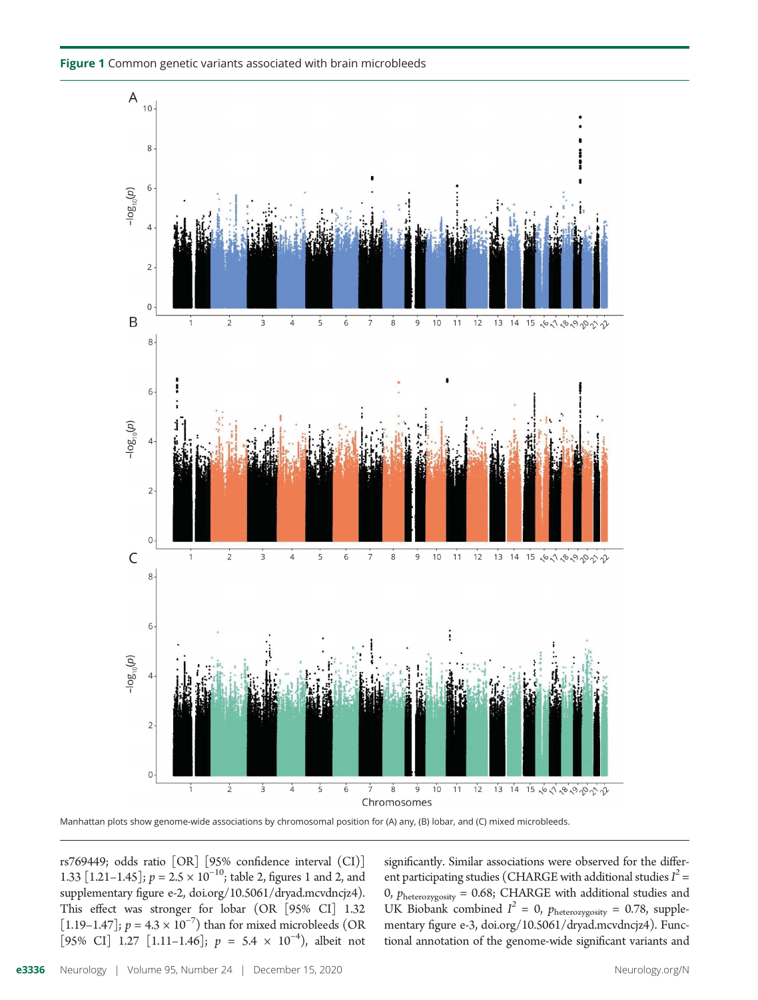Figure 1 Common genetic variants associated with brain microbleeds



Manhattan plots show genome-wide associations by chromosomal position for (A) any, (B) lobar, and (C) mixed microbleeds.

rs769449; odds ratio [OR] [95% confidence interval (CI)] 1.33  $[1.21-1.45]$ ;  $p = 2.5 \times 10^{-10}$ ; table 2, figures 1 and 2, and supplementary figure e-2, [doi.org/10.5061/dryad.mcvdncjz4](http://doi.org/10.5061/dryad.mcvdncjz4)). This effect was stronger for lobar (OR [95% CI] 1.32 [1.19–1.47];  $p = 4.3 \times 10^{-7}$ ) than for mixed microbleeds (OR [95% CI] 1.27 [1.11–1.46];  $p = 5.4 \times 10^{-4}$ , albeit not significantly. Similar associations were observed for the different participating studies (CHARGE with additional studies  $I^2$  = 0,  $p_{heterozygosity} = 0.68$ ; CHARGE with additional studies and UK Biobank combined  $I^2 = 0$ ,  $p_{heterozygosity} = 0.78$ , supplementary figure e-3, [doi.org/10.5061/dryad.mcvdncjz4](http://doi.org/10.5061/dryad.mcvdncjz4)). Functional annotation of the genome-wide significant variants and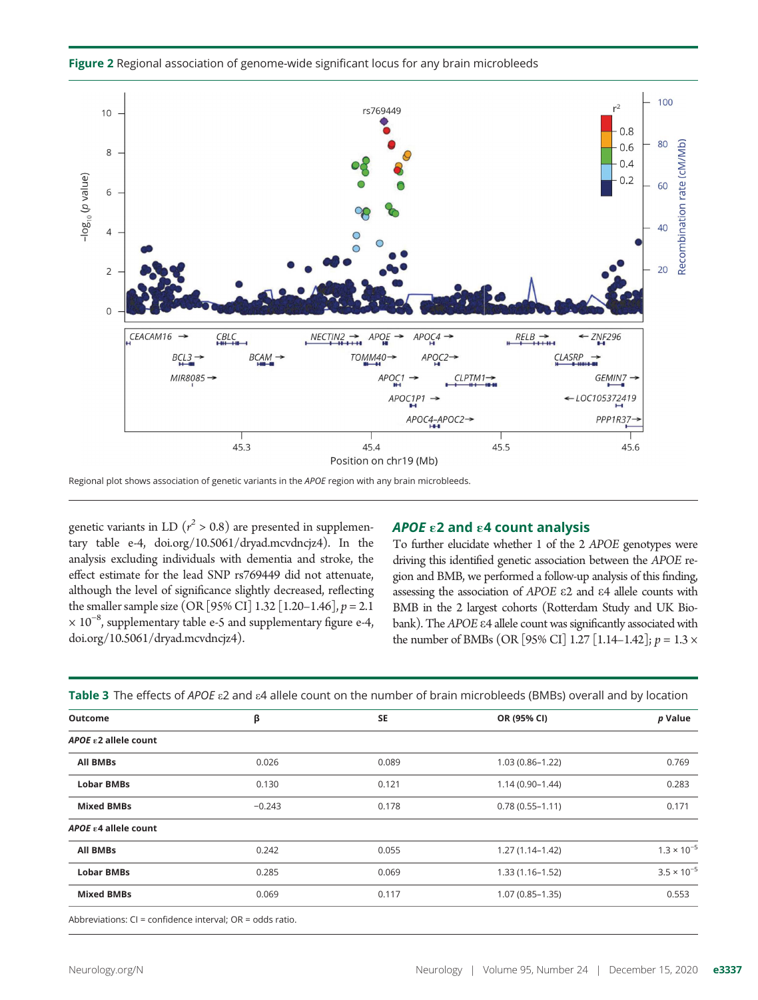

Figure 2 Regional association of genome-wide significant locus for any brain microbleeds

Regional plot shows association of genetic variants in the APOE region with any brain microbleeds.

genetic variants in LD ( $r^2 > 0.8$ ) are presented in supplementary table e-4, [doi.org/10.5061/dryad.mcvdncjz4\)](http://doi.org/10.5061/dryad.mcvdncjz4). In the analysis excluding individuals with dementia and stroke, the effect estimate for the lead SNP rs769449 did not attenuate, although the level of significance slightly decreased, reflecting the smaller sample size (OR [95% CI] 1.32 [1.20–1.46],  $p = 2.1$ × 10−<sup>8</sup> , supplementary table e-5 and supplementary figure e-4, [doi.org/10.5061/dryad.mcvdncjz4\)](http://doi.org/10.5061/dryad.mcvdncjz4).

### APOE  $\epsilon$ 2 and  $\epsilon$ 4 count analysis

To further elucidate whether 1 of the 2 APOE genotypes were driving this identified genetic association between the APOE region and BMB, we performed a follow-up analysis of this finding, assessing the association of APOE e2 and e4 allele counts with BMB in the 2 largest cohorts (Rotterdam Study and UK Biobank). The APOE  $\varepsilon$ 4 allele count was significantly associated with the number of BMBs (OR [95% CI] 1.27 [1.14–1.42];  $p = 1.3 \times$ 

Table 3 The effects of APOE  $\varepsilon$ 2 and  $\varepsilon$ 4 allele count on the number of brain microbleeds (BMBs) overall and by location

| <b>Outcome</b>                 | β        | <b>SE</b> | OR (95% CI)         | p Value              |
|--------------------------------|----------|-----------|---------------------|----------------------|
| APOE ε2 allele count           |          |           |                     |                      |
| All BMBs                       | 0.026    | 0.089     | $1.03(0.86 - 1.22)$ | 0.769                |
| <b>Lobar BMBs</b>              | 0.130    | 0.121     | $1.14(0.90 - 1.44)$ | 0.283                |
| <b>Mixed BMBs</b>              | $-0.243$ | 0.178     | $0.78(0.55 - 1.11)$ | 0.171                |
| APOE $\epsilon$ 4 allele count |          |           |                     |                      |
| <b>All BMBs</b>                | 0.242    | 0.055     | $1.27(1.14-1.42)$   | $1.3 \times 10^{-5}$ |
| <b>Lobar BMBs</b>              | 0.285    | 0.069     | $1.33(1.16 - 1.52)$ | $3.5 \times 10^{-5}$ |
| <b>Mixed BMBs</b>              | 0.069    | 0.117     | $1.07(0.85 - 1.35)$ | 0.553                |
|                                |          |           |                     |                      |

Abbreviations: CI = confidence interval; OR = odds ratio.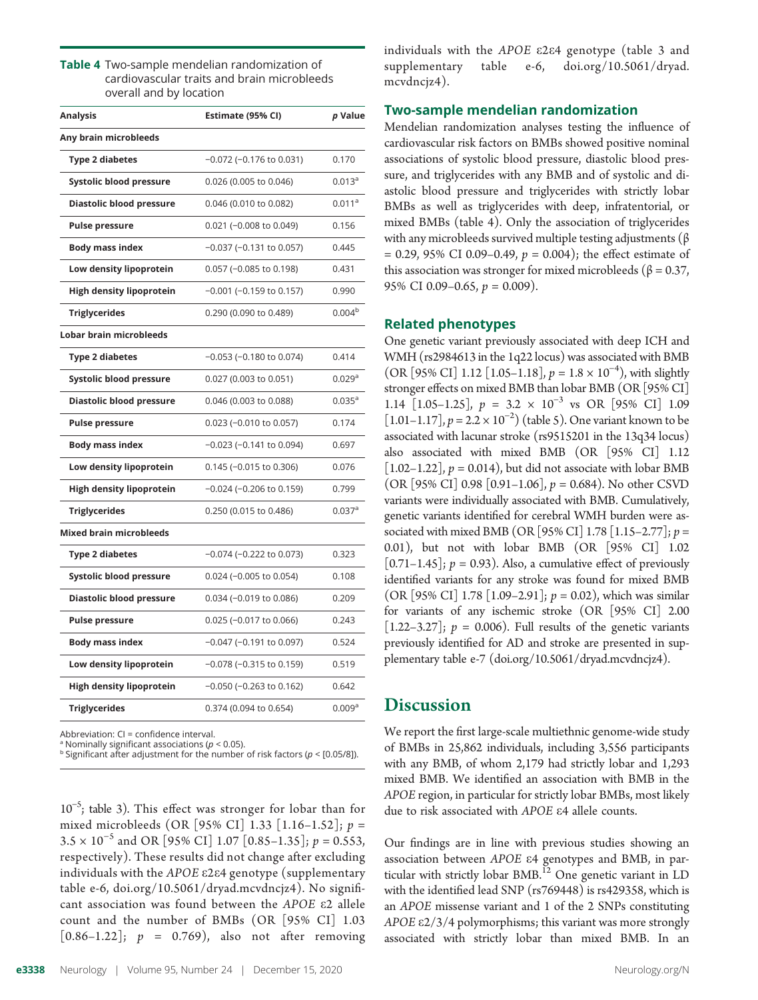| <b>Table 4</b> Two-sample mendelian randomization of |
|------------------------------------------------------|
| cardiovascular traits and brain microbleeds          |
| overall and by location                              |

| Estimate (95% Cl)             | p Value            |
|-------------------------------|--------------------|
|                               |                    |
| $-0.072$ ( $-0.176$ to 0.031) | 0.170              |
| 0.026 (0.005 to 0.046)        | $0.013^a$          |
| 0.046 (0.010 to 0.082)        | 0.011 <sup>a</sup> |
| $0.021$ (-0.008 to 0.049)     | 0.156              |
| $-0.037$ ( $-0.131$ to 0.057) | 0.445              |
| 0.057 (-0.085 to 0.198)       | 0.431              |
| $-0.001$ ( $-0.159$ to 0.157) | 0.990              |
| 0.290 (0.090 to 0.489)        | 0.004 <sup>b</sup> |
|                               |                    |
| $-0.053$ ( $-0.180$ to 0.074) | 0.414              |
| 0.027 (0.003 to 0.051)        | 0.029a             |
| 0.046 (0.003 to 0.088)        | 0.035 <sup>a</sup> |
| $0.023$ (-0.010 to 0.057)     | 0.174              |
| $-0.023$ ( $-0.141$ to 0.094) | 0.697              |
| $0.145$ (-0.015 to 0.306)     | 0.076              |
| $-0.024$ ( $-0.206$ to 0.159) | 0.799              |
| 0.250 (0.015 to 0.486)        | 0.037a             |
|                               |                    |
| $-0.074$ ( $-0.222$ to 0.073) | 0.323              |
| $0.024$ (-0.005 to 0.054)     | 0.108              |
| 0.034 (-0.019 to 0.086)       | 0.209              |
| 0.025 (-0.017 to 0.066)       | 0.243              |
| $-0.047$ ( $-0.191$ to 0.097) | 0.524              |
| $-0.078$ ( $-0.315$ to 0.159) | 0.519              |
| $-0.050$ ( $-0.263$ to 0.162) | 0.642              |
| 0.374 (0.094 to 0.654)        | 0.009a             |
|                               |                    |

Abbreviation: CI = confidence interval.

<sup>a</sup> Nominally significant associations ( $p < 0.05$ ).

<sup>b</sup> Significant after adjustment for the number of risk factors ( $p <$  [0.05/8]).

10<sup>-5</sup>; table 3). This effect was stronger for lobar than for mixed microbleeds (OR [95% CI] 1.33 [1.16–1.52];  $p =$  $3.5 \times 10^{-5}$  and OR [95% CI] 1.07 [0.85–1.35];  $p = 0.553$ , respectively). These results did not change after excluding individuals with the APOE e2e4 genotype (supplementary table e-6, [doi.org/10.5061/dryad.mcvdncjz4](http://doi.org/10.5061/dryad.mcvdncjz4)). No significant association was found between the APOE e2 allele count and the number of BMBs (OR [95% CI] 1.03  $[0.86 - 1.22]$ ;  $p = 0.769$ , also not after removing

individuals with the APOE e2e4 genotype (table 3 and supplementary table e-6, [doi.org/10.5061/dryad.](http://doi.org/10.5061/dryad.mcvdncjz4) [mcvdncjz4\)](http://doi.org/10.5061/dryad.mcvdncjz4).

## Two-sample mendelian randomization

Mendelian randomization analyses testing the influence of cardiovascular risk factors on BMBs showed positive nominal associations of systolic blood pressure, diastolic blood pressure, and triglycerides with any BMB and of systolic and diastolic blood pressure and triglycerides with strictly lobar BMBs as well as triglycerides with deep, infratentorial, or mixed BMBs (table 4). Only the association of triglycerides with any microbleeds survived multiple testing adjustments ( $\beta$  $= 0.29, 95\% \text{ CI } 0.09 - 0.49, p = 0.004$ ; the effect estimate of this association was stronger for mixed microbleeds ( $β = 0.37$ , 95% CI 0.09–0.65,  $p = 0.009$ ).

## Related phenotypes

One genetic variant previously associated with deep ICH and WMH (rs2984613 in the 1q22 locus) was associated with BMB (OR [95% CI] 1.12 [1.05–1.18],  $p = 1.8 \times 10^{-4}$ ), with slightly stronger effects on mixed BMB than lobar BMB (OR [95% CI] 1.14  $[1.05-1.25]$ ,  $p = 3.2 \times 10^{-3}$  vs OR  $[95\% \text{ CI}]$  1.09 [1.01–1.17],  $p = 2.2 \times 10^{-2}$ ) (table 5). One variant known to be associated with lacunar stroke (rs9515201 in the 13q34 locus) also associated with mixed BMB (OR [95% CI] 1.12  $[1.02-1.22]$ ,  $p = 0.014$ ), but did not associate with lobar BMB  $(OR [95\% CI] 0.98 [0.91-1.06], p = 0.684)$ . No other CSVD variants were individually associated with BMB. Cumulatively, genetic variants identified for cerebral WMH burden were associated with mixed BMB (OR [95% CI] 1.78 [1.15–2.77];  $p =$ 0.01), but not with lobar BMB (OR [95% CI] 1.02  $[0.71-1.45]$ ;  $p = 0.93$ ). Also, a cumulative effect of previously identified variants for any stroke was found for mixed BMB (OR [95% CI] 1.78 [1.09–2.91];  $p = 0.02$ ), which was similar for variants of any ischemic stroke (OR [95% CI] 2.00 [1.22–3.27];  $p = 0.006$ ). Full results of the genetic variants previously identified for AD and stroke are presented in supplementary table e-7 [\(doi.org/10.5061/dryad.mcvdncjz4](http://doi.org/10.5061/dryad.mcvdncjz4)).

## **Discussion**

We report the first large-scale multiethnic genome-wide study of BMBs in 25,862 individuals, including 3,556 participants with any BMB, of whom 2,179 had strictly lobar and 1,293 mixed BMB. We identified an association with BMB in the APOE region, in particular for strictly lobar BMBs, most likely due to risk associated with APOE e4 allele counts.

Our findings are in line with previous studies showing an association between APOE e4 genotypes and BMB, in particular with strictly lobar BMB.<sup>12</sup> One genetic variant in LD with the identified lead SNP (rs769448) is rs429358, which is an APOE missense variant and 1 of the 2 SNPs constituting APOE e2/3/4 polymorphisms; this variant was more strongly associated with strictly lobar than mixed BMB. In an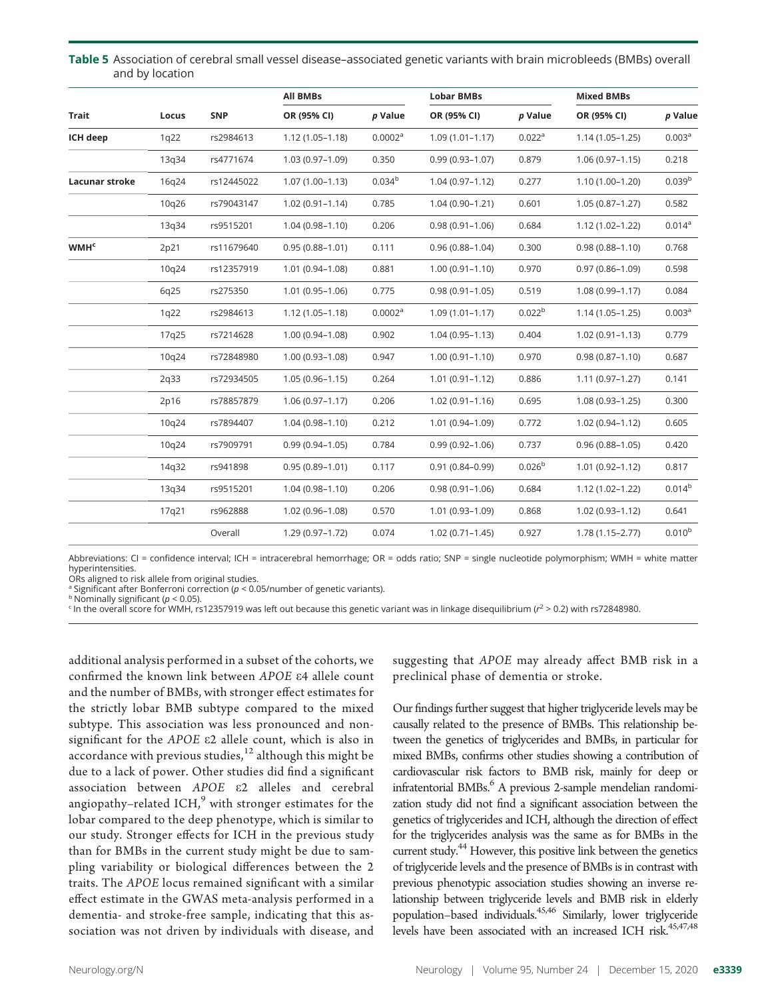Table 5 Association of cerebral small vessel disease–associated genetic variants with brain microbleeds (BMBs) overall and by location

|                        |       |            | <b>All BMBs</b>     |                     | <b>Lobar BMBs</b>   |                    | <b>Mixed BMBs</b>   |                    |
|------------------------|-------|------------|---------------------|---------------------|---------------------|--------------------|---------------------|--------------------|
| Trait                  | Locus | <b>SNP</b> | OR (95% CI)         | p Value             | OR (95% CI)         | p Value            | OR (95% CI)         | p Value            |
| ICH deep               | 1q22  | rs2984613  | $1.12(1.05 - 1.18)$ | 0.0002 <sup>a</sup> | $1.09(1.01 - 1.17)$ | 0.022 <sup>a</sup> | $1.14(1.05 - 1.25)$ | 0.003 <sup>a</sup> |
|                        | 13q34 | rs4771674  | 1.03 (0.97-1.09)    | 0.350               | $0.99(0.93 - 1.07)$ | 0.879              | $1.06(0.97 - 1.15)$ | 0.218              |
| Lacunar stroke         | 16q24 | rs12445022 | $1.07(1.00-1.13)$   | 0.034 <sup>b</sup>  | $1.04(0.97 - 1.12)$ | 0.277              | $1.10(1.00-1.20)$   | 0.039 <sup>b</sup> |
|                        | 10q26 | rs79043147 | $1.02(0.91 - 1.14)$ | 0.785               | $1.04(0.90 - 1.21)$ | 0.601              | $1.05(0.87 - 1.27)$ | 0.582              |
|                        | 13q34 | rs9515201  | $1.04(0.98 - 1.10)$ | 0.206               | $0.98(0.91 - 1.06)$ | 0.684              | 1.12 (1.02-1.22)    | 0.014 <sup>a</sup> |
| <b>WMH<sup>c</sup></b> | 2p21  | rs11679640 | $0.95(0.88 - 1.01)$ | 0.111               | $0.96(0.88 - 1.04)$ | 0.300              | $0.98(0.88 - 1.10)$ | 0.768              |
|                        | 10q24 | rs12357919 | 1.01 (0.94-1.08)    | 0.881               | $1.00(0.91 - 1.10)$ | 0.970              | $0.97(0.86 - 1.09)$ | 0.598              |
|                        | 6q25  | rs275350   | $1.01(0.95 - 1.06)$ | 0.775               | $0.98(0.91 - 1.05)$ | 0.519              | $1.08(0.99 - 1.17)$ | 0.084              |
|                        | 1q22  | rs2984613  | $1.12(1.05 - 1.18)$ | 0.0002 <sup>a</sup> | $1.09(1.01 - 1.17)$ | 0.022 <sup>b</sup> | $1.14(1.05 - 1.25)$ | 0.003 <sup>a</sup> |
|                        | 17q25 | rs7214628  | $1.00(0.94 - 1.08)$ | 0.902               | $1.04(0.95 - 1.13)$ | 0.404              | $1.02(0.91 - 1.13)$ | 0.779              |
|                        | 10q24 | rs72848980 | $1.00(0.93 - 1.08)$ | 0.947               | $1.00(0.91 - 1.10)$ | 0.970              | $0.98(0.87 - 1.10)$ | 0.687              |
|                        | 2q33  | rs72934505 | $1.05(0.96 - 1.15)$ | 0.264               | $1.01(0.91 - 1.12)$ | 0.886              | $1.11(0.97 - 1.27)$ | 0.141              |
|                        | 2p16  | rs78857879 | $1.06(0.97 - 1.17)$ | 0.206               | $1.02(0.91 - 1.16)$ | 0.695              | $1.08(0.93 - 1.25)$ | 0.300              |
|                        | 10q24 | rs7894407  | $1.04(0.98 - 1.10)$ | 0.212               | 1.01 (0.94-1.09)    | 0.772              | $1.02(0.94 - 1.12)$ | 0.605              |
|                        | 10q24 | rs7909791  | $0.99(0.94 - 1.05)$ | 0.784               | $0.99(0.92 - 1.06)$ | 0.737              | $0.96(0.88 - 1.05)$ | 0.420              |
|                        | 14q32 | rs941898   | $0.95(0.89 - 1.01)$ | 0.117               | $0.91(0.84 - 0.99)$ | 0.026 <sup>b</sup> | $1.01(0.92 - 1.12)$ | 0.817              |
|                        | 13q34 | rs9515201  | $1.04(0.98 - 1.10)$ | 0.206               | $0.98(0.91 - 1.06)$ | 0.684              | $1.12(1.02 - 1.22)$ | 0.014 <sup>b</sup> |
|                        | 17q21 | rs962888   | $1.02(0.96 - 1.08)$ | 0.570               | $1.01(0.93 - 1.09)$ | 0.868              | $1.02(0.93 - 1.12)$ | 0.641              |
|                        |       | Overall    | $1.29(0.97 - 1.72)$ | 0.074               | $1.02(0.71 - 1.45)$ | 0.927              | $1.78(1.15 - 2.77)$ | 0.010 <sup>b</sup> |

Abbreviations: CI = confidence interval; ICH = intracerebral hemorrhage; OR = odds ratio; SNP = single nucleotide polymorphism; WMH = white matter hyperintensities.

ORs aligned to risk allele from original studies.

<sup>a</sup> Significant after Bonferroni correction ( $p < 0.05$ /number of genetic variants).

 $b$  Nominally significant ( $p < 0.05$ ).

 $\epsilon$  In the overall score for WMH, rs12357919 was left out because this genetic variant was in linkage disequilibrium ( $r^2$  > 0.2) with rs72848980.

additional analysis performed in a subset of the cohorts, we confirmed the known link between APOE e4 allele count and the number of BMBs, with stronger effect estimates for the strictly lobar BMB subtype compared to the mixed subtype. This association was less pronounced and nonsignificant for the APOE e2 allele count, which is also in accordance with previous studies, $12$  although this might be due to a lack of power. Other studies did find a significant association between APOE e2 alleles and cerebral angiopathy–related ICH, $9$  with stronger estimates for the lobar compared to the deep phenotype, which is similar to our study. Stronger effects for ICH in the previous study than for BMBs in the current study might be due to sampling variability or biological differences between the 2 traits. The APOE locus remained significant with a similar effect estimate in the GWAS meta-analysis performed in a dementia- and stroke-free sample, indicating that this association was not driven by individuals with disease, and

suggesting that APOE may already affect BMB risk in a preclinical phase of dementia or stroke.

Our findings further suggest that higher triglyceride levels may be causally related to the presence of BMBs. This relationship between the genetics of triglycerides and BMBs, in particular for mixed BMBs, confirms other studies showing a contribution of cardiovascular risk factors to BMB risk, mainly for deep or infratentorial BMBs.<sup>6</sup> A previous 2-sample mendelian randomization study did not find a significant association between the genetics of triglycerides and ICH, although the direction of effect for the triglycerides analysis was the same as for BMBs in the current study.<sup>44</sup> However, this positive link between the genetics of triglyceride levels and the presence of BMBs is in contrast with previous phenotypic association studies showing an inverse relationship between triglyceride levels and BMB risk in elderly population–based individuals.45,46 Similarly, lower triglyceride levels have been associated with an increased ICH risk.<sup>45,47,48</sup>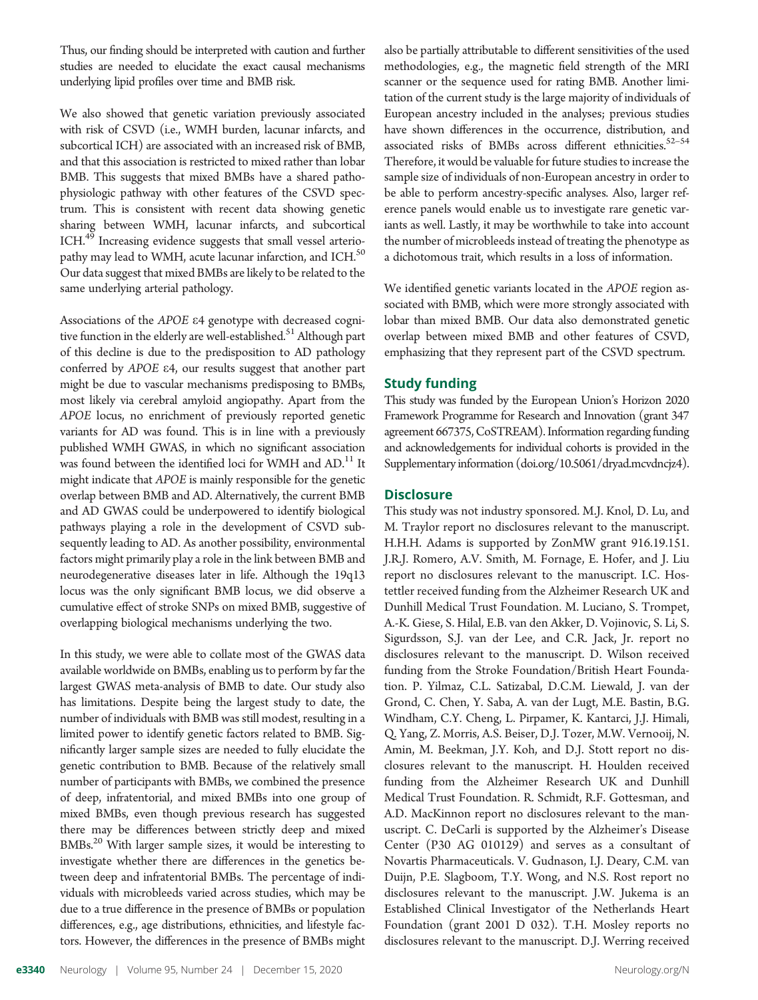Thus, our finding should be interpreted with caution and further studies are needed to elucidate the exact causal mechanisms underlying lipid profiles over time and BMB risk.

We also showed that genetic variation previously associated with risk of CSVD (i.e., WMH burden, lacunar infarcts, and subcortical ICH) are associated with an increased risk of BMB, and that this association is restricted to mixed rather than lobar BMB. This suggests that mixed BMBs have a shared pathophysiologic pathway with other features of the CSVD spectrum. This is consistent with recent data showing genetic sharing between WMH, lacunar infarcts, and subcortical ICH.<sup>49</sup> Increasing evidence suggests that small vessel arteriopathy may lead to WMH, acute lacunar infarction, and ICH.<sup>50</sup> Our data suggest that mixed BMBs are likely to be related to the same underlying arterial pathology.

Associations of the APOE e4 genotype with decreased cognitive function in the elderly are well-established.<sup>51</sup> Although part of this decline is due to the predisposition to AD pathology conferred by APOE e4, our results suggest that another part might be due to vascular mechanisms predisposing to BMBs, most likely via cerebral amyloid angiopathy. Apart from the APOE locus, no enrichment of previously reported genetic variants for AD was found. This is in line with a previously published WMH GWAS, in which no significant association was found between the identified loci for WMH and AD.<sup>11</sup> It might indicate that APOE is mainly responsible for the genetic overlap between BMB and AD. Alternatively, the current BMB and AD GWAS could be underpowered to identify biological pathways playing a role in the development of CSVD subsequently leading to AD. As another possibility, environmental factors might primarily play a role in the link between BMB and neurodegenerative diseases later in life. Although the 19q13 locus was the only significant BMB locus, we did observe a cumulative effect of stroke SNPs on mixed BMB, suggestive of overlapping biological mechanisms underlying the two.

In this study, we were able to collate most of the GWAS data available worldwide on BMBs, enabling us to perform by far the largest GWAS meta-analysis of BMB to date. Our study also has limitations. Despite being the largest study to date, the number of individuals with BMB was still modest, resulting in a limited power to identify genetic factors related to BMB. Significantly larger sample sizes are needed to fully elucidate the genetic contribution to BMB. Because of the relatively small number of participants with BMBs, we combined the presence of deep, infratentorial, and mixed BMBs into one group of mixed BMBs, even though previous research has suggested there may be differences between strictly deep and mixed BMBs.<sup>20</sup> With larger sample sizes, it would be interesting to investigate whether there are differences in the genetics between deep and infratentorial BMBs. The percentage of individuals with microbleeds varied across studies, which may be due to a true difference in the presence of BMBs or population differences, e.g., age distributions, ethnicities, and lifestyle factors. However, the differences in the presence of BMBs might

also be partially attributable to different sensitivities of the used methodologies, e.g., the magnetic field strength of the MRI scanner or the sequence used for rating BMB. Another limitation of the current study is the large majority of individuals of European ancestry included in the analyses; previous studies have shown differences in the occurrence, distribution, and associated risks of BMBs across different ethnicities.<sup>52-54</sup> Therefore, it would be valuable for future studies to increase the sample size of individuals of non-European ancestry in order to be able to perform ancestry-specific analyses. Also, larger reference panels would enable us to investigate rare genetic variants as well. Lastly, it may be worthwhile to take into account the number of microbleeds instead of treating the phenotype as a dichotomous trait, which results in a loss of information.

We identified genetic variants located in the APOE region associated with BMB, which were more strongly associated with lobar than mixed BMB. Our data also demonstrated genetic overlap between mixed BMB and other features of CSVD, emphasizing that they represent part of the CSVD spectrum.

## Study funding

This study was funded by the European Union's Horizon 2020 Framework Programme for Research and Innovation (grant 347 agreement 667375, CoSTREAM). Information regarding funding and acknowledgements for individual cohorts is provided in the Supplementary information [\(doi.org/10.5061/dryad.mcvdncjz4](http://doi.org/10.5061/dryad.mcvdncjz4)).

## **Disclosure**

This study was not industry sponsored. M.J. Knol, D. Lu, and M. Traylor report no disclosures relevant to the manuscript. H.H.H. Adams is supported by ZonMW grant 916.19.151. J.R.J. Romero, A.V. Smith, M. Fornage, E. Hofer, and J. Liu report no disclosures relevant to the manuscript. I.C. Hostettler received funding from the Alzheimer Research UK and Dunhill Medical Trust Foundation. M. Luciano, S. Trompet, A.-K. Giese, S. Hilal, E.B. van den Akker, D. Vojinovic, S. Li, S. Sigurdsson, S.J. van der Lee, and C.R. Jack, Jr. report no disclosures relevant to the manuscript. D. Wilson received funding from the Stroke Foundation/British Heart Foundation. P. Yilmaz, C.L. Satizabal, D.C.M. Liewald, J. van der Grond, C. Chen, Y. Saba, A. van der Lugt, M.E. Bastin, B.G. Windham, C.Y. Cheng, L. Pirpamer, K. Kantarci, J.J. Himali, Q. Yang, Z. Morris, A.S. Beiser, D.J. Tozer, M.W. Vernooij, N. Amin, M. Beekman, J.Y. Koh, and D.J. Stott report no disclosures relevant to the manuscript. H. Houlden received funding from the Alzheimer Research UK and Dunhill Medical Trust Foundation. R. Schmidt, R.F. Gottesman, and A.D. MacKinnon report no disclosures relevant to the manuscript. C. DeCarli is supported by the Alzheimer's Disease Center (P30 AG 010129) and serves as a consultant of Novartis Pharmaceuticals. V. Gudnason, I.J. Deary, C.M. van Duijn, P.E. Slagboom, T.Y. Wong, and N.S. Rost report no disclosures relevant to the manuscript. J.W. Jukema is an Established Clinical Investigator of the Netherlands Heart Foundation (grant 2001 D 032). T.H. Mosley reports no disclosures relevant to the manuscript. D.J. Werring received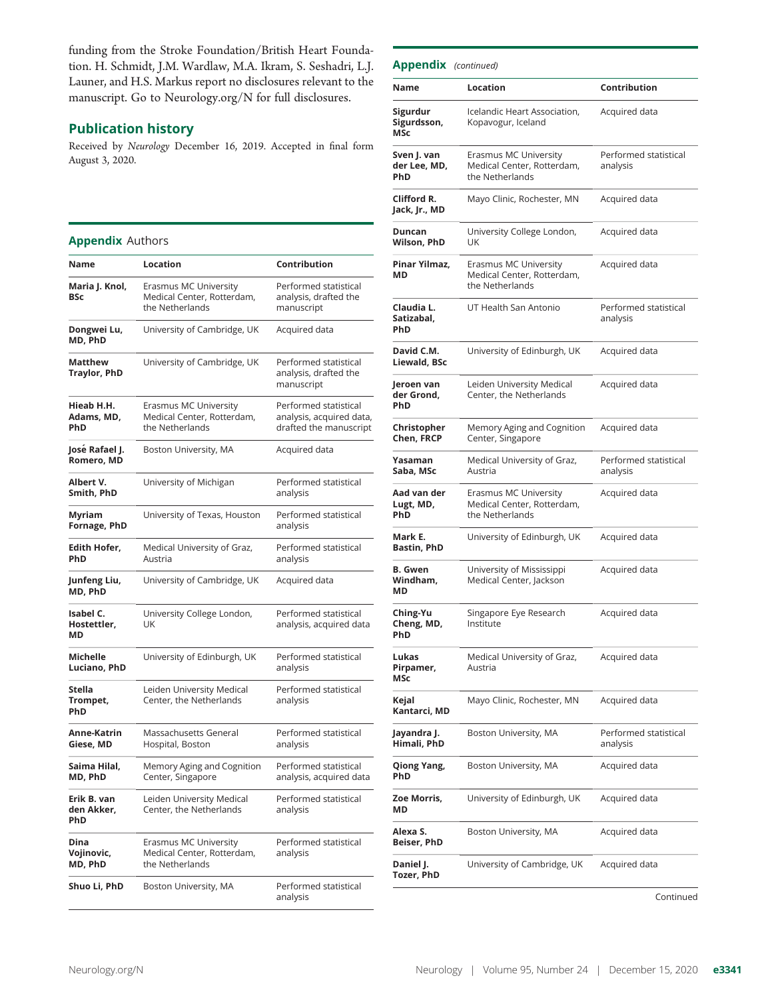funding from the Stroke Foundation/British Heart Foundation. H. Schmidt, J.M. Wardlaw, M.A. Ikram, S. Seshadri, L.J. Launer, and H.S. Markus report no disclosures relevant to the manuscript. Go to [Neurology.org/N](https://n.neurology.org/lookup/doi/10.1212/WNL.0000000000010852) for full disclosures.

## Publication history

Received by Neurology December 16, 2019. Accepted in final form August 3, 2020.

## Appendix Authors

| Name                             | <b>Location</b>                                                        | Contribution                                                                |
|----------------------------------|------------------------------------------------------------------------|-----------------------------------------------------------------------------|
| Maria J. Knol,<br>BSc            | Erasmus MC University<br>Medical Center, Rotterdam,<br>the Netherlands | Performed statistical<br>analysis, drafted the<br>manuscript                |
| Dongwei Lu,<br>MD, PhD           | University of Cambridge, UK                                            | Acquired data                                                               |
| Matthew<br><b>Traylor, PhD</b>   | University of Cambridge, UK                                            | Performed statistical<br>analysis, drafted the<br>manuscript                |
| Hieab H.H.<br>Adams, MD,<br>PhD  | Erasmus MC University<br>Medical Center, Rotterdam,<br>the Netherlands | Performed statistical<br>analysis, acquired data,<br>drafted the manuscript |
| José Rafael J.<br>Romero, MD     | Boston University, MA                                                  | Acquired data                                                               |
| Albert V.<br>Smith, PhD          | University of Michigan                                                 | Performed statistical<br>analysis                                           |
| Myriam<br>Fornage, PhD           | University of Texas, Houston                                           | Performed statistical<br>analysis                                           |
| Edith Hofer,<br>PhD              | Medical University of Graz,<br>Austria                                 | Performed statistical<br>analysis                                           |
| Junfeng Liu,<br>MD, PhD          | University of Cambridge, UK                                            | Acquired data                                                               |
| Isabel C.<br>Hostettler,<br>МD   | University College London,<br>UK                                       | Performed statistical<br>analysis, acquired data                            |
| Michelle<br>Luciano, PhD         | University of Edinburgh, UK                                            | Performed statistical<br>analysis                                           |
| Stella<br>Trompet,<br>PhD        | Leiden University Medical<br>Center, the Netherlands                   | Performed statistical<br>analysis                                           |
| Anne-Katrin<br>Giese, MD         | Massachusetts General<br>Hospital, Boston                              | Performed statistical<br>analysis                                           |
| Saima Hilal,<br>MD, PhD          | Memory Aging and Cognition<br>Center, Singapore                        | Performed statistical<br>analysis, acquired data                            |
| Erik B. van<br>den Akker,<br>PhD | Leiden University Medical<br>Center, the Netherlands                   | Performed statistical<br>analysis                                           |
| Dina<br>Vojinovic,<br>MD, PhD    | Erasmus MC University<br>Medical Center, Rotterdam,<br>the Netherlands | Performed statistical<br>analysis                                           |
| Shuo Li, PhD                     | Boston University, MA                                                  | Performed statistical<br>analysis                                           |

| <b>Appendix</b> (continued)        |                                                                        |                                   |
|------------------------------------|------------------------------------------------------------------------|-----------------------------------|
| Name                               | Location                                                               | Contribution                      |
| Sigurdur<br>Sigurdsson,<br>MSc     | Icelandic Heart Association,<br>Kopavogur, Iceland                     | Acquired data                     |
| Sven J. van<br>der Lee, MD,<br>PhD | Erasmus MC University<br>Medical Center, Rotterdam,<br>the Netherlands | Performed statistical<br>analysis |
| Clifford R.<br>Jack, Jr., MD       | Mayo Clinic, Rochester, MN                                             | Acquired data                     |
| Duncan<br>Wilson, PhD              | University College London,<br>UK                                       | Acquired data                     |
| Pinar Yilmaz,<br>МD                | Erasmus MC University<br>Medical Center, Rotterdam,<br>the Netherlands | Acquired data                     |
| Claudia L.<br>Satizabal,<br>PhD    | UT Health San Antonio                                                  | Performed statistical<br>analysis |
| David C.M.<br>Liewald, BSc         | University of Edinburgh, UK                                            | Acquired data                     |
| Jeroen van<br>der Grond.<br>PhD    | Leiden University Medical<br>Center, the Netherlands                   | Acquired data                     |
| Christopher<br>Chen, FRCP          | Memory Aging and Cognition<br>Center, Singapore                        | Acquired data                     |
| Yasaman<br>Saba, MSc               | Medical University of Graz,<br>Austria                                 | Performed statistical<br>analysis |
| Aad van der<br>Lugt, MD,<br>PhD    | Erasmus MC University<br>Medical Center, Rotterdam,<br>the Netherlands | Acquired data                     |
| Mark E.<br>Bastin, PhD             | University of Edinburgh, UK                                            | Acquired data                     |
| B. Gwen<br>Windham,<br>МD          | University of Mississippi<br>Medical Center, Jackson                   | Acquired data                     |
| Ching-Yu<br>Cheng, MD,<br>PhD      | Singapore Eye Research<br>Institute                                    | Acquired data                     |
| Lukas<br>Pirpamer,<br><b>MSc</b>   | Medical University of Graz,<br>Austria                                 | Acquired data                     |
| Kejal<br>Kantarci, MD              | Mayo Clinic, Rochester, MN                                             | Acquired data                     |
| Jayandra J.<br>Himali, PhD         | Boston University, MA                                                  | Performed statistical<br>analysis |
| Qiong Yang,<br>PhD                 | Boston University, MA                                                  | Acquired data                     |
| Zoe Morris,<br>МD                  | University of Edinburgh, UK                                            | Acquired data                     |
| Alexa S.<br>Beiser, PhD            | Boston University, MA                                                  | Acquired data                     |
| Daniel J.<br>Tozer, PhD            | University of Cambridge, UK                                            | Acquired data                     |
|                                    |                                                                        | Continued                         |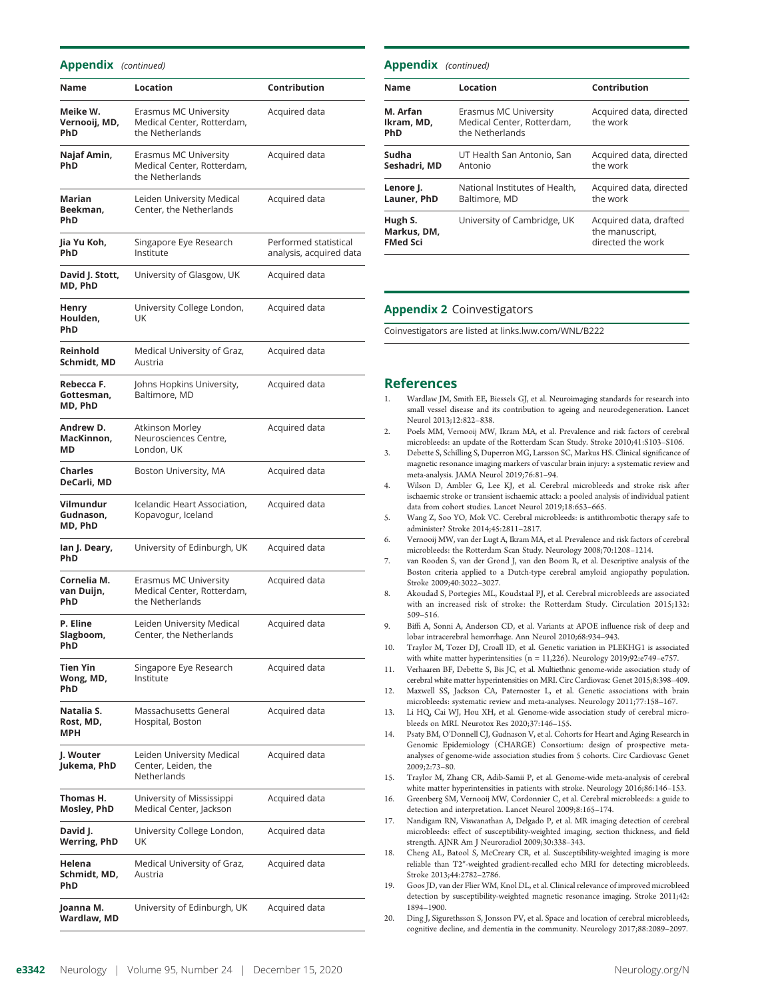#### Appendix (continued)

| Name                                    | Location                                                               | Contribution                                     |
|-----------------------------------------|------------------------------------------------------------------------|--------------------------------------------------|
| Meike W.<br>Vernooij, MD,<br><b>PhD</b> | Erasmus MC University<br>Medical Center, Rotterdam,<br>the Netherlands | Acquired data                                    |
| Najaf Amin,<br>PhD                      | Erasmus MC University<br>Medical Center, Rotterdam,<br>the Netherlands | Acquired data                                    |
| Marian<br>Beekman.<br>PhD               | Leiden University Medical<br>Center, the Netherlands                   | Acquired data                                    |
| Jia Yu Koh,<br><b>PhD</b>               | Singapore Eye Research<br>Institute                                    | Performed statistical<br>analysis, acquired data |
| David J. Stott,<br>MD, PhD              | University of Glasgow, UK                                              | Acquired data                                    |
| Henry<br>Houlden,<br>PhD                | University College London,<br>UK                                       | Acquired data                                    |
| Reinhold<br>Schmidt. MD                 | Medical University of Graz,<br>Austria                                 | Acquired data                                    |
| Rebecca F.<br>Gottesman,<br>MD, PhD     | Johns Hopkins University,<br>Baltimore, MD                             | Acquired data                                    |
| Andrew D.<br>MacKinnon,<br>МD           | Atkinson Morley<br>Neurosciences Centre,<br>London, UK                 | Acquired data                                    |
| <b>Charles</b><br>DeCarli, MD           | Boston University, MA                                                  | Acquired data                                    |
| Vilmundur<br>Gudnason,<br>MD, PhD       | Icelandic Heart Association,<br>Kopavogur, Iceland                     | Acquired data                                    |
| lan J. Deary,<br><b>PhD</b>             | University of Edinburgh, UK                                            | Acquired data                                    |
| Cornelia M.<br>van Duijn,<br><b>PhD</b> | Erasmus MC University<br>Medical Center, Rotterdam,<br>the Netherlands | Acquired data                                    |
| P. Eline<br>Slagboom,<br>PhD            | Leiden University Medical<br>Center, the Netherlands                   | Acquired data                                    |
| <b>Tien Yin</b><br>Wong, MD,<br>PhD     | Singapore Eye Research<br>Institute                                    | Acquired data                                    |
| Natalia S.<br>Rost, MD,<br>MPH          | Massachusetts General<br>Hospital, Boston                              | Acquired data                                    |
| J. Wouter<br>Jukema, PhD                | Leiden University Medical<br>Center, Leiden, the<br>Netherlands        | Acquired data                                    |
| Thomas H.<br>Mosley, PhD                | University of Mississippi<br>Medical Center, Jackson                   | Acquired data                                    |
| David J.<br><b>Werring, PhD</b>         | University College London,<br>UK                                       | Acquired data                                    |
| Helena<br>Schmidt, MD,<br>PhD           | Medical University of Graz,<br>Austria                                 | Acquired data                                    |
| Joanna M.<br>Wardlaw, MD                | University of Edinburgh, UK                                            | Acquired data                                    |

| <b>Appendix</b> (continued)               |                                                                        |                                                                |  |  |
|-------------------------------------------|------------------------------------------------------------------------|----------------------------------------------------------------|--|--|
| <b>Name</b>                               | Location                                                               | Contribution                                                   |  |  |
| M. Arfan<br>Ikram, MD,<br><b>PhD</b>      | Erasmus MC University<br>Medical Center, Rotterdam,<br>the Netherlands | Acquired data, directed<br>the work                            |  |  |
| Sudha<br>Seshadri, MD                     | UT Health San Antonio, San<br>Antonio                                  | Acquired data, directed<br>the work                            |  |  |
| Lenore J.<br>Launer, PhD                  | National Institutes of Health,<br>Baltimore, MD                        | Acquired data, directed<br>the work                            |  |  |
| Hugh S.<br>Markus, DM,<br><b>FMed Sci</b> | University of Cambridge, UK                                            | Acquired data, drafted<br>the manuscript,<br>directed the work |  |  |

#### Appendix 2 Coinvestigators

Coinvestigators are listed at [links.lww.com/WNL/B222](http://links.lww.com/WNL/B222)

#### References

- 1. Wardlaw JM, Smith EE, Biessels GJ, et al. Neuroimaging standards for research into small vessel disease and its contribution to ageing and neurodegeneration. Lancet Neurol 2013;12:822–838.
- 2. Poels MM, Vernooij MW, Ikram MA, et al. Prevalence and risk factors of cerebral microbleeds: an update of the Rotterdam Scan Study. Stroke 2010;41:S103–S106.
- 3. Debette S, Schilling S, Duperron MG, Larsson SC, Markus HS. Clinical significance of magnetic resonance imaging markers of vascular brain injury: a systematic review and meta-analysis. JAMA Neurol 2019;76:81–94.
- 4. Wilson D, Ambler G, Lee KJ, et al. Cerebral microbleeds and stroke risk after ischaemic stroke or transient ischaemic attack: a pooled analysis of individual patient data from cohort studies. Lancet Neurol 2019;18:653–665.
- 5. Wang Z, Soo YO, Mok VC. Cerebral microbleeds: is antithrombotic therapy safe to administer? Stroke 2014;45:2811–2817.
- 6. Vernooij MW, van der Lugt A, Ikram MA, et al. Prevalence and risk factors of cerebral microbleeds: the Rotterdam Scan Study. Neurology 2008;70:1208–1214.
- 7. van Rooden S, van der Grond J, van den Boom R, et al. Descriptive analysis of the Boston criteria applied to a Dutch-type cerebral amyloid angiopathy population. Stroke 2009;40:3022–3027.
- 8. Akoudad S, Portegies ML, Koudstaal PJ, et al. Cerebral microbleeds are associated with an increased risk of stroke: the Rotterdam Study. Circulation 2015;132: 509–516.
- 9. Biffi A, Sonni A, Anderson CD, et al. Variants at APOE influence risk of deep and lobar intracerebral hemorrhage. Ann Neurol 2010;68:934–943.
- 10. Traylor M, Tozer DJ, Croall ID, et al. Genetic variation in PLEKHG1 is associated with white matter hyperintensities (n = 11,226). Neurology 2019;92:e749–e757.
- 11. Verhaaren BF, Debette S, Bis JC, et al. Multiethnic genome-wide association study of cerebral white matter hyperintensities on MRI. Circ Cardiovasc Genet 2015;8:398–409.
- 12. Maxwell SS, Jackson CA, Paternoster L, et al. Genetic associations with brain microbleeds: systematic review and meta-analyses. Neurology 2011;77:158–167.
- 13. Li HQ, Cai WJ, Hou XH, et al. Genome-wide association study of cerebral microbleeds on MRI. Neurotox Res 2020;37:146–155.
- 14. Psaty BM, O'Donnell CJ, Gudnason V, et al. Cohorts for Heart and Aging Research in Genomic Epidemiology (CHARGE) Consortium: design of prospective metaanalyses of genome-wide association studies from 5 cohorts. Circ Cardiovasc Genet 2009;2:73–80.
- 15. Traylor M, Zhang CR, Adib-Samii P, et al. Genome-wide meta-analysis of cerebral white matter hyperintensities in patients with stroke. Neurology 2016;86:146–153.
- 16. Greenberg SM, Vernooij MW, Cordonnier C, et al. Cerebral microbleeds: a guide to detection and interpretation. Lancet Neurol 2009;8:165–174.
- 17. Nandigam RN, Viswanathan A, Delgado P, et al. MR imaging detection of cerebral microbleeds: effect of susceptibility-weighted imaging, section thickness, and field strength. AJNR Am J Neuroradiol 2009;30:338–343.
- 18. Cheng AL, Batool S, McCreary CR, et al. Susceptibility-weighted imaging is more reliable than T2\*-weighted gradient-recalled echo MRI for detecting microbleeds. Stroke 2013;44:2782–2786.
- 19. Goos JD, van der Flier WM, Knol DL, et al. Clinical relevance of improved microbleed detection by susceptibility-weighted magnetic resonance imaging. Stroke 2011;42: 1894–1900.
- 20. Ding J, Sigurethsson S, Jonsson PV, et al. Space and location of cerebral microbleeds, cognitive decline, and dementia in the community. Neurology 2017;88:2089–2097.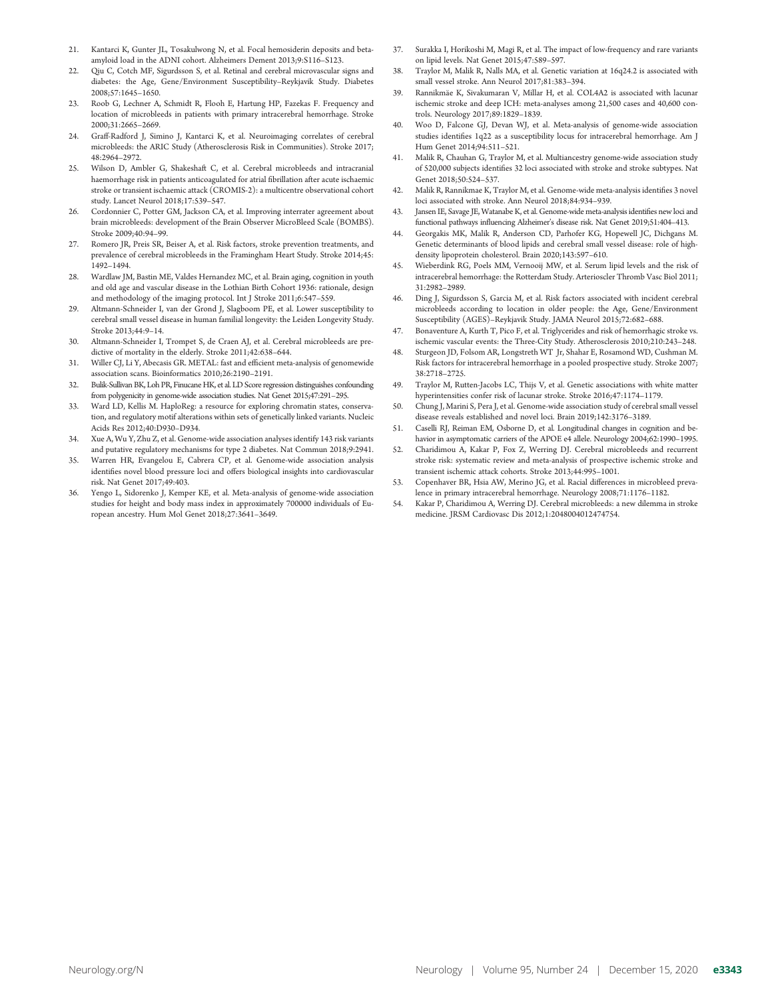- 21. Kantarci K, Gunter JL, Tosakulwong N, et al. Focal hemosiderin deposits and betaamyloid load in the ADNI cohort. Alzheimers Dement 2013;9:S116–S123.
- 22. Oiu C, Cotch MF, Sigurdsson S, et al. Retinal and cerebral microvascular signs and diabetes: the Age, Gene/Environment Susceptibility–Reykjavik Study. Diabetes 2008;57:1645–1650.
- 23. Roob G, Lechner A, Schmidt R, Flooh E, Hartung HP, Fazekas F. Frequency and location of microbleeds in patients with primary intracerebral hemorrhage. Stroke 2000;31:2665–2669.
- 24. Graff-Radford J, Simino J, Kantarci K, et al. Neuroimaging correlates of cerebral microbleeds: the ARIC Study (Atherosclerosis Risk in Communities). Stroke 2017; 48:2964–2972.
- 25. Wilson D, Ambler G, Shakeshaft C, et al. Cerebral microbleeds and intracranial haemorrhage risk in patients anticoagulated for atrial fibrillation after acute ischaemic stroke or transient ischaemic attack (CROMIS-2): a multicentre observational cohort study. Lancet Neurol 2018;17:539–547.
- 26. Cordonnier C, Potter GM, Jackson CA, et al. Improving interrater agreement about brain microbleeds: development of the Brain Observer MicroBleed Scale (BOMBS). Stroke 2009;40:94–99.
- 27. Romero JR, Preis SR, Beiser A, et al. Risk factors, stroke prevention treatments, and prevalence of cerebral microbleeds in the Framingham Heart Study. Stroke 2014;45: 1492–1494.
- 28. Wardlaw JM, Bastin ME, Valdes Hernandez MC, et al. Brain aging, cognition in youth and old age and vascular disease in the Lothian Birth Cohort 1936: rationale, design and methodology of the imaging protocol. Int J Stroke 2011;6:547–559.
- 29. Altmann-Schneider I, van der Grond J, Slagboom PE, et al. Lower susceptibility to cerebral small vessel disease in human familial longevity: the Leiden Longevity Study. Stroke 2013;44:9–14.
- 30. Altmann-Schneider I, Trompet S, de Craen AJ, et al. Cerebral microbleeds are predictive of mortality in the elderly. Stroke 2011;42:638–644.
- 31. Willer CJ, Li Y, Abecasis GR. METAL: fast and efficient meta-analysis of genomewide association scans. Bioinformatics 2010;26:2190–2191.
- 32. Bulik-Sullivan BK, Loh PR, Finucane HK, et al. LD Score regression distinguishes confounding from polygenicity in genome-wide association studies. Nat Genet 2015;47:291–295.
- 33. Ward LD, Kellis M. HaploReg: a resource for exploring chromatin states, conservation, and regulatory motif alterations within sets of genetically linked variants. Nucleic Acids Res 2012;40:D930–D934.
- 34. Xue A, Wu Y, Zhu Z, et al. Genome-wide association analyses identify 143 risk variants and putative regulatory mechanisms for type 2 diabetes. Nat Commun 2018;9:2941.
- 35. Warren HR, Evangelou E, Cabrera CP, et al. Genome-wide association analysis identifies novel blood pressure loci and offers biological insights into cardiovascular risk. Nat Genet 2017;49:403.
- 36. Yengo L, Sidorenko J, Kemper KE, et al. Meta-analysis of genome-wide association studies for height and body mass index in approximately 700000 individuals of European ancestry. Hum Mol Genet 2018;27:3641–3649.
- 37. Surakka I, Horikoshi M, Magi R, et al. The impact of low-frequency and rare variants on lipid levels. Nat Genet 2015;47:589–597.
- 38. Traylor M, Malik R, Nalls MA, et al. Genetic variation at 16q24.2 is associated with small vessel stroke. Ann Neurol 2017;81:383–394.
- 39. Rannikmäe K, Sivakumaran V, Millar H, et al. COL4A2 is associated with lacunar ischemic stroke and deep ICH: meta-analyses among 21,500 cases and 40,600 controls. Neurology 2017;89:1829–1839.
- 40. Woo D, Falcone GJ, Devan WJ, et al. Meta-analysis of genome-wide association studies identifies 1q22 as a susceptibility locus for intracerebral hemorrhage. Am J Hum Genet 2014;94:511–521.
- 41. Malik R, Chauhan G, Traylor M, et al. Multiancestry genome-wide association study of 520,000 subjects identifies 32 loci associated with stroke and stroke subtypes. Nat Genet 2018;50:524–537.
- Malik R, Rannikmae K, Traylor M, et al. Genome-wide meta-analysis identifies 3 novel loci associated with stroke. Ann Neurol 2018;84:934–939.
- 43. Jansen IE, Savage JE, Watanabe K, et al. Genome-wide meta-analysis identifies new loci and functional pathways influencing Alzheimer's disease risk. Nat Genet 2019;51:404–413.
- 44. Georgakis MK, Malik R, Anderson CD, Parhofer KG, Hopewell JC, Dichgans M. Genetic determinants of blood lipids and cerebral small vessel disease: role of highdensity lipoprotein cholesterol. Brain 2020;143:597–610.
- 45. Wieberdink RG, Poels MM, Vernooij MW, et al. Serum lipid levels and the risk of intracerebral hemorrhage: the Rotterdam Study. Arterioscler Thromb Vasc Biol 2011; 31:2982–2989.
- 46. Ding J, Sigurdsson S, Garcia M, et al. Risk factors associated with incident cerebral microbleeds according to location in older people: the Age, Gene/Environment Susceptibility (AGES)–Reykjavik Study. JAMA Neurol 2015;72:682–688.
- 47. Bonaventure A, Kurth T, Pico F, et al. Triglycerides and risk of hemorrhagic stroke vs. ischemic vascular events: the Three-City Study. Atherosclerosis 2010;210:243–248.
- Sturgeon JD, Folsom AR, Longstreth WT Jr, Shahar E, Rosamond WD, Cushman M. Risk factors for intracerebral hemorrhage in a pooled prospective study. Stroke 2007; 38:2718–2725.
- 49. Traylor M, Rutten-Jacobs LC, Thijs V, et al. Genetic associations with white matter hyperintensities confer risk of lacunar stroke. Stroke 2016;47:1174–1179.
- 50. Chung J, Marini S, Pera J, et al. Genome-wide association study of cerebral small vessel disease reveals established and novel loci. Brain 2019;142:3176–3189.
- 51. Caselli RJ, Reiman EM, Osborne D, et al. Longitudinal changes in cognition and behavior in asymptomatic carriers of the APOE e4 allele. Neurology 2004;62:1990–1995.
- 52. Charidimou A, Kakar P, Fox Z, Werring DJ. Cerebral microbleeds and recurrent stroke risk: systematic review and meta-analysis of prospective ischemic stroke and transient ischemic attack cohorts. Stroke 2013;44:995–1001.
- 53. Copenhaver BR, Hsia AW, Merino JG, et al. Racial differences in microbleed prevalence in primary intracerebral hemorrhage. Neurology 2008;71:1176–1182.
- 54. Kakar P, Charidimou A, Werring DJ. Cerebral microbleeds: a new dilemma in stroke medicine. JRSM Cardiovasc Dis 2012;1:2048004012474754.